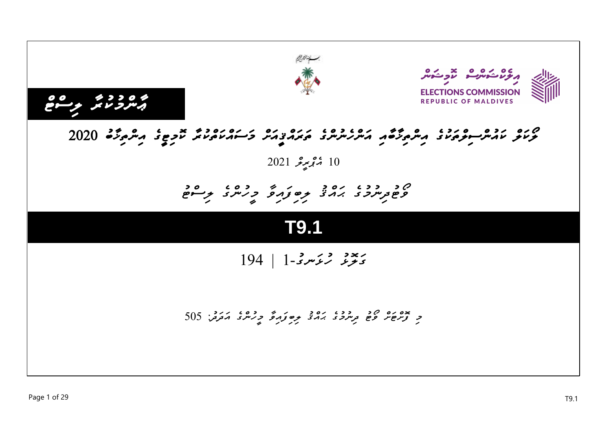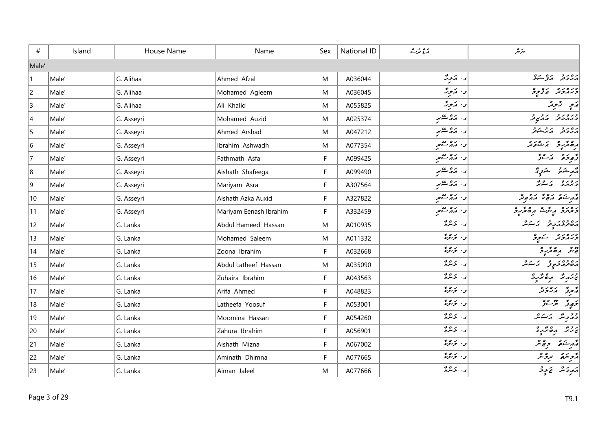| #              | Island | House Name | Name                   | Sex       | National ID | ، ه ، بر <u>م</u> | ىئرىتر                      |
|----------------|--------|------------|------------------------|-----------|-------------|-------------------|-----------------------------|
| Male'          |        |            |                        |           |             |                   |                             |
|                | Male'  | G. Alihaa  | Ahmed Afzal            | M         | A036044     | ى بە ئەبەرى       | גפנק גף ביל                 |
| $ 2\rangle$    | Male'  | G. Alihaa  | Mohamed Agleem         | M         | A036045     | ى بە ئەبەر        | ورەرو كەنمى                 |
| 3              | Male'  | G. Alihaa  | Ali Khalid             | M         | A055825     | ى سەمۇر           | ړې د ژونژ                   |
| 4              | Male'  | G. Asseyri | Mohamed Auzid          | ${\sf M}$ | A025374     | ى ئەرەبىيە        |                             |
| 5              | Male'  | G. Asseyri | Ahmed Arshad           | ${\sf M}$ | A047212     | ى بەرگە شىمبر     | رەرو رومۇمۇ                 |
| 6              | Male'  | G. Asseyri | Ibrahim Ashwadh        | M         | A077354     | ى ئەرەبىيە        | رە ئرىرو كەشۈر              |
| $\overline{7}$ | Male'  | G. Asseyri | Fathmath Asfa          | F         | A099425     | ى بەرگە شىمبر     | وٌ پروژه در صورٌ            |
| 8              | Male'  | G. Asseyri | Aishath Shafeega       | F         | A099490     | ى ئەمەسىمىر       | <i>وگر ڪو آهي ٿو</i>        |
| 9              | Male'  | G. Asseyri | Mariyam Asra           | F         | A307564     | ی گروغیمبر        | وبوده برعثه                 |
| 10             | Male'  | G. Asseyri | Aishath Azka Auxid     | F         | A327822     | ى ئەرەسىمىر       | התשים הזי הראת              |
| 11             | Male'  | G. Asseyri | Mariyam Eenash Ibrahim | F         | A332459     | ى ئەرەبىيىتى يېز  | دەرو رېئىش رەيزىرو          |
| 12             | Male'  | G. Lanka   | Abdul Hameed Hassan    | ${\sf M}$ | A010935     | ى - ئۇنىرىم       | גם בפגב ב <sub>ר</sub> גבית |
| 13             | Male'  | G. Lanka   | Mohamed Saleem         | ${\sf M}$ | A011332     | ى - ئۇنىرىم       | ورەرو سوۋ                   |
| 14             | Male'  | G. Lanka   | Zoona Ibrahim          | F         | A032668     | ى - ئۇنىرىم       | מי הסיקק                    |
| 15             | Male'  | G. Lanka   | Abdul Latheef Hassan   | M         | A035090     | ى - ئۇنىژىتۇ      | גפרפק באביב                 |
| 16             | Male'  | G. Lanka   | Zuhaira Ibrahim        | F         | A043563     | ى - ئۇسرىم        | يمنه شه مهنده               |
| 17             | Male'  | G. Lanka   | Arifa Ahmed            | F         | A048823     | ى - ئۇنىرىم       | ە ئىرۇ مەددىر               |
| 18             | Male'  | G. Lanka   | Latheefa Yoosuf        | F         | A053001     | ى - ئۇنىرىگە      | خبورٌ "در "دو               |
| 19             | Male'  | G. Lanka   | Moomina Hassan         | F         | A054260     | ى - ئۇنىرىگە      | ودورش برسك                  |
| 20             | Male'  | G. Lanka   | Zahura Ibrahim         | F         | A056901     | ى - ئۇنىرىگە      | برویه مره تر رو             |
| 21             | Male'  | G. Lanka   | Aishath Mizna          | F         | A067002     | ى - ئۇنىرىم       | قدم شمو ولمح متر            |
| 22             | Male'  | G. Lanka   | Aminath Dhimna         | F         | A077665     | ى كەشرىم          | ړٌ پر پرو سره شر            |
| 23             | Male'  | G. Lanka   | Aiman Jaleel           | M         | A077666     | ى - ئۇشرىتۇ       | مەركىر قور                  |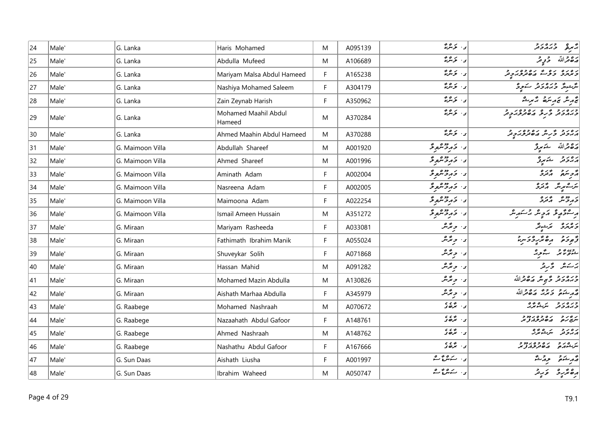| 24 | Male' | G. Lanka         | Haris Mohamed                  | M         | A095139 | ى - ئۇنىژىتۇ              | كجميرة وبروبرد                               |
|----|-------|------------------|--------------------------------|-----------|---------|---------------------------|----------------------------------------------|
| 25 | Male' | G. Lanka         | Abdulla Mufeed                 | M         | A106689 | ى - ئۇنىژىتۇ              | أشڪ مرالله څو مر                             |
| 26 | Male' | G. Lanka         | Mariyam Malsa Abdul Hameed     | F         | A165238 | ى - ئۇنىرىم               | ג סגם גם שי גם כסג כ<br>בזנחב ביציי הסתיבהבת |
| 27 | Male' | G. Lanka         | Nashiya Mohamed Saleem         | F         | A304179 | ى - ئۇنىژىتۇ              |                                              |
| 28 | Male' | G. Lanka         | Zain Zeynab Harish             | F         | A350962 | لى . ئۇنىژىد              | تجمه شريم يرسك برسيم                         |
| 29 | Male' | G. Lanka         | Mohamed Maahil Abdul<br>Hameed | ${\sf M}$ | A370284 | ى - ئۇنىرىم               | وره روحي و ره وه را د                        |
| 30 | Male' | G. Lanka         | Ahmed Maahin Abdul Hameed      | M         | A370288 | ى - ئۇسرىم                | גפגב כל הם גם כפי בי                         |
| 31 | Male' | G. Maimoon Villa | Abdullah Shareef               | M         | A001920 | ، ئەدەمبىرىگە             | ره والله شمیرو<br>مصرالله شمیرو              |
| 32 | Male' | G. Maimoon Villa | Ahmed Shareef                  | M         | A001996 | ى ئەرقەش <sub>مۇ</sub> ئە | رەرد شىرو<br>مەددىر شىرو                     |
| 33 | Male' | G. Maimoon Villa | Aminath Adam                   | F         | A002004 | ى ئەرىۋىترو ئى            | أثرم يتره أوره                               |
| 34 | Male' | G. Maimoon Villa | Nasreena Adam                  | F         | A002005 | ى ئەرق شەرقى              | ىرگىرىگە كەترى                               |
| 35 | Male' | G. Maimoon Villa | Maimoona Adam                  | F         | A022254 | ، ئەدەمبىرىگە             | أوردوش ورو                                   |
| 36 | Male' | G. Maimoon Villa | Ismail Ameen Hussain           | M         | A351272 | ى ئەرىۋىترە ئە            | ر موځږي ټر په برختر پر                       |
| 37 | Male' | G. Miraan        | Mariyam Rasheeda               | F         | A033081 | ى ئەرتىگە                 | رەرە برخوش                                   |
| 38 | Male' | G. Miraan        | Fathimath Ibrahim Manik        | F         | A055024 |                           |                                              |
| 39 | Male' | G. Miraan        | Shuveykar Solih                | F         | A071868 |                           | أخوه لا يجود                                 |
| 40 | Male' | G. Miraan        | Hassan Mahid                   | M         | A091282 | ای ویژی <sub>ش</sub>      | ير سكاندار محر و تر                          |
| 41 | Male' | G. Miraan        | Mohamed Mazin Abdulla          | M         | A130826 | ی و پژیگر                 | ورەرو پەرە مەدەرللە                          |
| 42 | Male' | G. Miraan        | Aishath Marhaa Abdulla         | F         | A345979 | ای ویژیو<br>—             | قهر مندم وسرو ره محامدالله                   |
| 43 | Male' | G. Raabege       | Mohamed Nashraah               | ${\sf M}$ | A070672 | ر محرم د<br>د . محره د    | وره رو برگ ده.<br>وبروتر برگشویزیر           |
| 44 | Male' | G. Raabege       | Nazaahath Abdul Gafoor         | F         | A148761 | ر محرم د<br>د . محره د    |                                              |
| 45 | Male' | G. Raabege       | Ahmed Nashraah                 | M         | A148762 | ر محرم د<br>د - محرمه د   | رەرد سكەندى                                  |
| 46 | Male' | G. Raabege       | Nashathu Abdul Gafoor          | F         | A167666 | ر په ده کا                | ر ۲۰۰۵ ده ده ده د<br>سرشوره ده ترود و بر     |
| 47 | Male' | G. Sun Daas      | Aishath Liusha                 | F         | A001997 | ى سەھەمچە ھ               | وكرم شكوكم المحرم والمستكر                   |
| 48 | Male' | G. Sun Daas      | Ibrahim Waheed                 | ${\sf M}$ | A050747 | ى سەھدى ھ                 | رەپرىد كەيتر                                 |
|    |       |                  |                                |           |         |                           |                                              |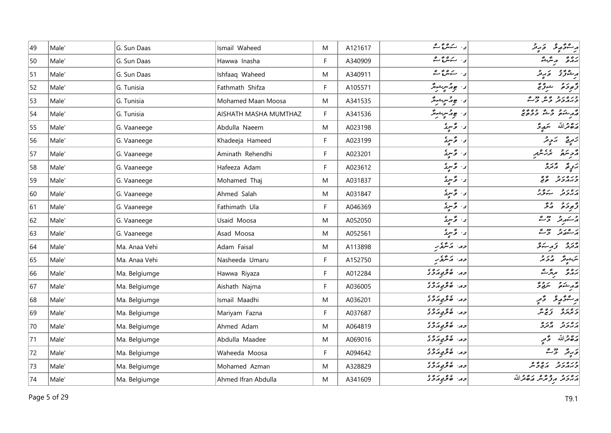| 49 | Male' | G. Sun Daas   | Ismail Waheed         | M         | A121617 | ى سەھەمچە ھ                                                                                                                                                                                                                     | برحوح وبرقر                                                                                                    |
|----|-------|---------------|-----------------------|-----------|---------|---------------------------------------------------------------------------------------------------------------------------------------------------------------------------------------------------------------------------------|----------------------------------------------------------------------------------------------------------------|
| 50 | Male' | G. Sun Daas   | Hawwa Inasha          | F         | A340909 | ى سەھەمچە ھ                                                                                                                                                                                                                     | برە ئەسترىت                                                                                                    |
| 51 | Male' | G. Sun Daas   | Ishfaaq Waheed        | ${\sf M}$ | A340911 | ى سەھەمچە ھ                                                                                                                                                                                                                     | وسشورة وكالمحامدة                                                                                              |
| 52 | Male' | G. Tunisia    | Fathmath Shifza       | F         | A105571 | ى جوړېږېدگه                                                                                                                                                                                                                     | أَوْجِرْحَمْ شَرْوَجٌ                                                                                          |
| 53 | Male' | G. Tunisia    | Mohamed Maan Moosa    | ${\sf M}$ | A341535 | الى المحد من من المحدد بير<br>المحدث المحدث المحدث                                                                                                                                                                              | ورەرو پەھ دور                                                                                                  |
| 54 | Male' | G. Tunisia    | AISHATH MASHA MUMTHAZ | F         | A341536 |                                                                                                                                                                                                                                 | ح مشرح و شده وه ده و                                                                                           |
| 55 | Male' | G. Vaaneege   | Abdulla Naeem         | M         | A023198 | ر به ع <sup>م</sup> ر پرځا                                                                                                                                                                                                      | أشق مترالله تتميز                                                                                              |
| 56 | Male' | G. Vaaneege   | Khadeeja Hameed       | F         | A023199 | ى ئەھمىرىگە                                                                                                                                                                                                                     | دَمِيعٌ - رَحٍ مُرْ                                                                                            |
| 57 | Male' | G. Vaaneege   | Aminath Rehendhi      | F         | A023201 | ى ئەھمىيەتى<br>ئ                                                                                                                                                                                                                | و برقي المراسمي.<br>وكرير المراسمي.<br>أنها في المراسمي.                                                       |
| 58 | Male' | G. Vaaneege   | Hafeeza Adam          | F         | A023612 | ر . ئۇس <sub>ى</sub> بۇ                                                                                                                                                                                                         |                                                                                                                |
| 59 | Male' | G. Vaaneege   | Mohamed Thaj          | M         | A031837 | ى ئەھمىرىگە                                                                                                                                                                                                                     | وره رو ده<br>ژبر در وقع                                                                                        |
| 60 | Male' | G. Vaaneege   | Ahmed Salah           | M         | A031847 | ى ئەھمىرىگە                                                                                                                                                                                                                     | رەر دىرى<br>مەردىس سىۋىر                                                                                       |
| 61 | Male' | G. Vaaneege   | Fathimath Ula         | F         | A046369 | ى ئەھمىرىگە<br>ئ                                                                                                                                                                                                                | وتجوحهم الماقر                                                                                                 |
| 62 | Male' | G. Vaaneege   | Usaid Moosa           | ${\sf M}$ | A052050 | ى ئەھمىيەتكە                                                                                                                                                                                                                    | ە ئەسەر ئەستە                                                                                                  |
| 63 | Male' | G. Vaaneege   | Asad Moosa            | ${\sf M}$ | A052561 | ى بە ئۇمېرىگە                                                                                                                                                                                                                   | بر عامر و دین                                                                                                  |
| 64 | Male' | Ma. Anaa Vehi | Adam Faisal           | ${\sf M}$ | A113898 | حەر بە ئىتقى بە                                                                                                                                                                                                                 | أرتزو تزرجنو                                                                                                   |
| 65 | Male' | Ma. Anaa Vehi | Nasheeda Umaru        | F         | A152750 | حەر بە ئىتكەر                                                                                                                                                                                                                   | سَرَجي مِنْ مِنْ مِنْ مِنْ مِنْ                                                                                |
| 66 | Male' | Ma. Belgiumge | Hawwa Riyaza          | F         | A012284 | در گورده                                                                                                                                                                                                                        | برە ئەرگەشگە                                                                                                   |
| 67 | Male' | Ma. Belgiumge | Aishath Najma         | F         | A036005 |                                                                                                                                                                                                                                 | أوالمر وأستنقي ومحمد المتناجين                                                                                 |
| 68 | Male' | Ma. Belgiumge | Ismail Maadhi         | ${\sf M}$ | A036201 | כתי שיצי <sub>ב מ</sub> כז                                                                                                                                                                                                      | ر شۇر ئۇ ئۇ                                                                                                    |
| 69 | Male' | Ma. Belgiumge | Mariyam Fazna         | F         | A037687 |                                                                                                                                                                                                                                 | و محمد من المحمد المحمد المحمد المحمد المحمد المحمد المحمد المحمد المحمد المحمد المحمد المحمد المحمد المحمد ال |
| 70 | Male' | Ma. Belgiumge | Ahmed Adam            | ${\sf M}$ | A064819 |                                                                                                                                                                                                                                 | ره رح ده<br>پرېدن پرتر                                                                                         |
| 71 | Male' | Ma. Belgiumge | Abdulla Maadee        | ${\sf M}$ | A069016 | כגי פיציב גבש                                                                                                                                                                                                                   | رە داللە گەر                                                                                                   |
| 72 | Male' | Ma. Belgiumge | Waheeda Moosa         | F         | A094642 | ם בין פידודים בין היידיון בין היידיון בין היידיון בין היידיון בין היידיון בין היידיון בין היידיון בין היידיון<br>בין היידיון בין היידיון בין היידיון בין היידיון בין היידיון בין היידיון בין היידיון בין היידיון בין היידיון בי | أَوَرِيمٌ وَحْتُ                                                                                               |
| 73 | Male' | Ma. Belgiumge | Mohamed Azman         | M         | A328829 |                                                                                                                                                                                                                                 | כנסגב גם בם                                                                                                    |
| 74 | Male' | Ma. Belgiumge | Ahmed Ifran Abdulla   | ${\sf M}$ | A341609 | در کا دوره د                                                                                                                                                                                                                    | أرور ومحمد وكالله                                                                                              |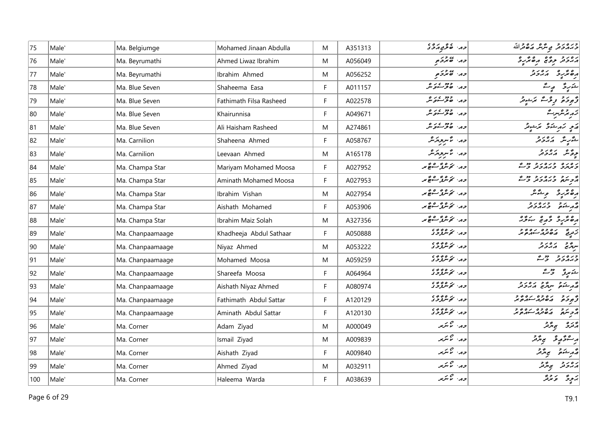| 75  | Male' | Ma. Belgiumge    | Mohamed Jinaan Abdulla  | M  | A351313 | وړ٤٠ صوبح پر و و                    | ورەرو يوشر مەھىراللە                       |
|-----|-------|------------------|-------------------------|----|---------|-------------------------------------|--------------------------------------------|
| 76  | Male' | Ma. Beyrumathi   | Ahmed Liwaz Ibrahim     | M  | A056049 | وړ٠ ځه دره.                         | رورد وده ره پر و                           |
| 77  | Male' | Ma. Beyrumathi   | Ibrahim Ahmed           | M  | A056252 | وړ٠ ځه دره.                         | גפיתיים גם גם                              |
| 78  | Male' | Ma. Blue Seven   | Shaheema Easa           | F  | A011157 |                                     | الحكمرة الإستم                             |
| 79  | Male' | Ma. Blue Seven   | Fathimath Filsa Rasheed | F  | A022578 | בו. פרד ג'ם<br>בו. סיב היפית        | وتجودة ووث يمشور                           |
| 80  | Male' | Ma. Blue Seven   | Khairunnisa             | F  | A049671 | وړ . ه دو پره<br>وړ . ه نو سوه س    | ئەر بۇن <sub>ى</sub> رىرىگە                |
| 81  | Male' | Ma. Blue Seven   | Ali Haisham Rasheed     | M  | A274861 |                                     | أأوا المراكب والمحر المستوفر               |
| 82  | Male' | Ma. Carnilion    | Shaheena Ahmed          | F  | A058767 | ور. ئۈ <sub>س</sub> رىرىگە<br>مەسىم | شَرِيرٌ دَيْرَوتر                          |
| 83  | Male' | Ma. Carnilion    | Leevaan Ahmed           | M  | A165178 | دە ئەسرىرىدىگە                      | وِحَمْدَ الْمَدْوَمْر                      |
| 84  | Male' | Ma. Champa Star  | Mariyam Mohamed Moosa   | F  | A027952 | <i>دە. ئۇنىرۇ شىۋى</i> ر            | נים כנים בנים מייריים.<br>המחידי בגמבת ביי |
| 85  | Male' | Ma. Champa Star  | Aminath Mohamed Moosa   | F. | A027953 | 7.5° كۇسۇر شوغ بىر                  | ه د د دره ده د ه                           |
| 86  | Male' | Ma. Champa Star  | Ibrahim Vishan          | M  | A027954 | <i>دە. ئۇنىرۇ شىۋىر</i>             | رەنزىر وىشىر                               |
| 87  | Male' | Ma. Champa Star  | Aishath Mohamed         | F  | A053906 | <i>دە. ئۇنىرۇ شىۋى</i> ر            | ه دره دره دره<br>مگرشوی وبروتر             |
| 88  | Male' | Ma. Champa Star  | Ibrahim Maiz Solah      | M  | A327356 | ور. نم مروش شوځ <sub>مر</sub>       | رە ئەر ئەر ئەر ئەر                         |
| 89  | Male' | Ma. Chanpaamaage | Khadheeja Abdul Sathaar | F. | A050888 | د د. که سروره د<br>د د. که سروری    | زىر ئەھەرە بەھ بىر                         |
| 90  | Male' | Ma. Chanpaamaage | Niyaz Ahmed             | M  | A053222 | و در که سروری<br>و در که سروری      | יינדים גם גב                               |
| 91  | Male' | Ma. Chanpaamaage | Mohamed Moosa           | M  | A059259 | د د. که سروری<br>د د. که سروری      | ورەرو دورو                                 |
| 92  | Male' | Ma. Chanpaamaage | Shareefa Moosa          | F  | A064964 | د د. که سروری<br>در که سروری        | شهروٌ وَ" ک                                |
| 93  | Male' | Ma. Chanpaamaage | Aishath Niyaz Ahmed     | F. | A080974 | وړ که سرونو دی                      | הובים יעת גם ה                             |
| 94  | Male' | Ma. Chanpaamaage | Fathimath Abdul Sattar  | F  | A120129 | وړ٠ کوسرونو د                       | י ני נסיפו נויין<br>צףכים ומסינומ יינויות  |
| 95  | Male' | Ma. Chanpaamaage | Aminath Abdul Sattar    | F  | A120130 | وړ کوسرونو ده<br>وړ کوسرونو د       | מ מי מסינת ממיד<br>הכייטת השינה ממידי      |
| 96  | Male' | Ma. Corner       | Adam Ziyad              | M  | A000049 | وە، ئائىرىر                         | وره په دو.<br>محمد په د                    |
| 97  | Male' | Ma. Corner       | Ismail Ziyad            | M  | A009839 | وە، ئائىرىر                         | وڪوڻو پرڙو                                 |
| 98  | Male' | Ma. Corner       | Aishath Ziyad           | F. | A009840 | وە، ئائىرىمە                        | و مشور سرور<br>مار شور سرور                |
| 99  | Male' | Ma. Corner       | Ahmed Ziyad             | M  | A032911 | حەر، ئائىتىلىر                      | رەرو پەر <i>ۇ</i>                          |
| 100 | Male' | Ma. Corner       | Haleema Warda           | F  | A038639 | وە. ئۈنىگە                          | يَرْمِرَّ مَرْ مَرْ مَرْ                   |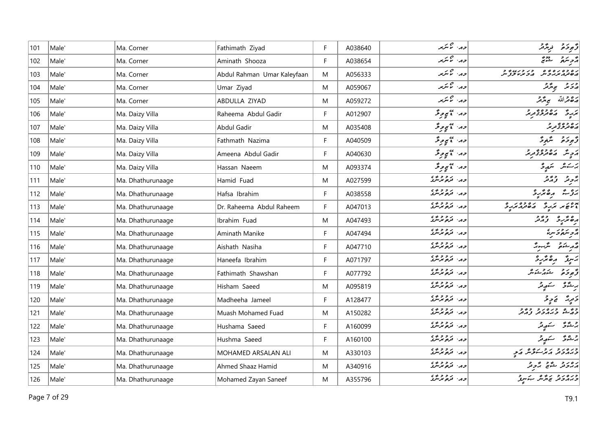| 101 | Male' | Ma. Corner        | Fathimath Ziyad             | F           | A038640 | حەر، ئۈنىتىرىيە                       | أوَّجِوحَةً مُرِيَّزَتَرُ                                            |
|-----|-------|-------------------|-----------------------------|-------------|---------|---------------------------------------|----------------------------------------------------------------------|
| 102 | Male' | Ma. Corner        | Aminath Shooza              | F           | A038654 | وە، ئائىرىمە                          | ړ د سرچ<br>مشترمج                                                    |
| 103 | Male' | Ma. Corner        | Abdul Rahman Umar Kaleyfaan | M           | A056333 | دە. ، ئابى <i>ت</i> ىر                | , ס כ ס ג ס ג ס ג כ ג ב ג ב ב<br>ג ס ב ג ג ג ב ייג - ג ב ייג צ ב ייג |
| 104 | Male' | Ma. Corner        | Umar Ziyad                  | M           | A059067 | وە، ئەنئەپر                           | ەر ئەسىم ئەر                                                         |
| 105 | Male' | Ma. Corner        | ABDULLA ZIYAD               | M           | A059272 | وە، ئائىرىمە                          | أرة قرالله بمجرمر                                                    |
| 106 | Male' | Ma. Daizy Villa   | Raheema Abdul Gadir         | $\mathsf F$ | A012907 | دە. "ئې <i>و</i> مۇ                   | ر په ده ده ده د د                                                    |
| 107 | Male' | Ma. Daizy Villa   | <b>Abdul Gadir</b>          | M           | A035408 | دە. "ئې <i>و</i> مۇ                   | ر ٥ و ٥ و پر و<br>پرڪ <sup>و</sup> رڪو ترمر                          |
| 108 | Male' | Ma. Daizy Villa   | Fathmath Nazima             | F           | A040509 | دە. ئ <sup>ې</sup> پ <sub>ې</sub> وگړ | وً و دو سمود                                                         |
| 109 | Male' | Ma. Daizy Villa   | Ameena Abdul Gadir          | F           | A040630 | ره. "ې پوځه                           | أرَوٍ مَّرَ الْمُعَامَّةِ وَمَعْ مِنْ مِنْ                           |
| 110 | Male' | Ma. Daizy Villa   | Hassan Naeem                | M           | A093374 | ره. <sup>م</sup> ېم پوځه              | ترسكس الكهرفى                                                        |
| 111 | Male' | Ma. Dhathurunaage | Hamid Fuad                  | M           | A027599 | ر و و و د و<br>وړ ۰ تره ترس           | يُرْحِدُ وُيُرْتَرُ                                                  |
| 112 | Male' | Ma. Dhathurunaage | Hafsa Ibrahim               | F           | A038558 | ر و و و د و<br>وړ .   تره ترس         | بروج مصريره                                                          |
| 113 | Male' | Ma. Dhathurunaage | Dr. Raheema Abdul Raheem    | F           | A047013 | ر د د و د و د<br>وړ ۰ تره پرس         | צפי ג'ול נפרסי פ                                                     |
| 114 | Male' | Ma. Dhathurunaage | Ibrahim Fuad                | M           | A047493 |                                       | دە ئەر ئەد                                                           |
| 115 | Male' | Ma. Dhathurunaage | Aminath Manike              | F           | A047494 | ر و و و د و<br>وړ٠ تره ترس            | ا محمد سر محمد من<br>محمد سر محمد سر من                              |
| 116 | Male' | Ma. Dhathurunaage | Aishath Nasiha              | F           | A047710 | ر و و و د و<br>وړ ۰ تره پرس           | ۇرمۇق ئىبر                                                           |
| 117 | Male' | Ma. Dhathurunaage | Haneefa Ibrahim             | F           | A071797 | ر د د و د د و<br>وړ ۰ تره پرس         | بَسِرْ رەمْر                                                         |
| 118 | Male' | Ma. Dhathurunaage | Fathimath Shawshan          | F           | A077792 | ر و و و د و<br>وړ٠ تره ترس            | شەرق شەكىر<br>و په پر د                                              |
| 119 | Male' | Ma. Dhathurunaage | Hisham Saeed                | M           | A095819 | ر و و و و د و<br>وړ ۰ تره ترسر        | برڪو ڪ <i>مي</i> ٽر<br>پ                                             |
| 120 | Male' | Ma. Dhathurunaage | Madheeha Jameel             | $\mathsf F$ | A128477 | ر و و و د و<br>وړ ۰ تره ترس           | ر <i>ُ پر ت</i> َ وَ وَ وَ                                           |
| 121 | Male' | Ma. Dhathurunaage | Muash Mohamed Fuad          | M           | A150282 | ر و و و پر<br>وړ ۰ ترجو برسر          | وه و وره د و ود و<br>حهشو حدماو ترمان                                |
| 122 | Male' | Ma. Dhathurunaage | Hushama Saeed               | F           | A160099 | ر و و و د و<br>وړ٠ تره پرس            | ریشوی کمپروتر                                                        |
| 123 | Male' | Ma. Dhathurunaage | Hushma Saeed                | F           | A160100 | ر و و و و د و<br>وړ ۰ تره ترسر        | جره محمد سنتمو تر                                                    |
| 124 | Male' | Ma. Dhathurunaage | MOHAMED ARSALAN ALI         | M           | A330103 | ر د د و د د و<br>وړ ۰ تره پرس         | ورەر د در در ده د                                                    |
| 125 | Male' | Ma. Dhathurunaage | Ahmed Shaaz Hamid           | M           | A340916 | ر و و و و و و<br>وړ٠ ترجو برسر        | ره د و دوم د و د                                                     |
| 126 | Male' | Ma. Dhathurunaage | Mohamed Zayan Saneef        | M           | A355796 | ג כ ב ב ב ב<br>כ ג ·   تره و سرس      | ورەر دېرەھ جس ب                                                      |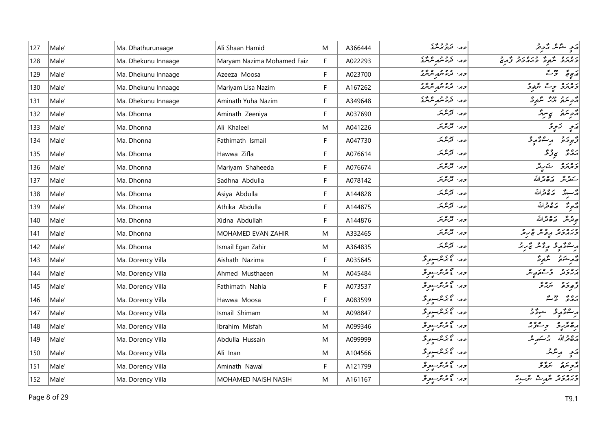| 127 | Male' | Ma. Dhathurunaage   | Ali Shaan Hamid            | M  | A366444 | ر و و و د و<br>وړ ۰ تره پرس                | ړَ پِه شَمَر بُرُونْز                                            |
|-----|-------|---------------------|----------------------------|----|---------|--------------------------------------------|------------------------------------------------------------------|
| 128 | Male' | Ma. Dhekunu Innaage | Maryam Nazima Mohamed Faiz | F. | A022293 | در ۰ تره شهر سرسری                         |                                                                  |
| 129 | Male' | Ma. Dhekunu Innaage | Azeeza Moosa               | F  | A023700 | در ۰ تره شهر سرسری                         | أرشي فتح فتستنسخ                                                 |
| 130 | Male' | Ma. Dhekunu Innaage | Mariyam Lisa Nazim         | F  | A167262 | ور وروم شهر شرش                            | دورو ریشه شرد                                                    |
| 131 | Male' | Ma. Dhekunu Innaage | Aminath Yuha Nazim         | F  | A349648 | ور. ورا شهر شریک                           | أأدمره وديد منتجر                                                |
| 132 | Male' | Ma. Dhonna          | Aminath Zeeniya            | F  | A037690 | د پر مور<br>د کرس                          | أأروبتكم بمستر                                                   |
| 133 | Male' | Ma. Dhonna          | Ali Khaleel                | M  | A041226 | دړ٠ ترسرس                                  | أشي التاريخ                                                      |
| 134 | Male' | Ma. Dhonna          | Fathimath Ismail           | F  | A047730 | دړ٠ ترسرس                                  | ومرد مشوره                                                       |
| 135 | Male' | Ma. Dhonna          | Hawwa Zifla                | F  | A076614 | حەر بىر تەرى <i>گە</i>                     | رەۋ بىرقى                                                        |
| 136 | Male' | Ma. Dhonna          | Mariyam Shaheeda           | F  | A076674 | دړ بیرمرس                                  | و ورو شریگر                                                      |
| 137 | Male' | Ma. Dhonna          | Sadhna Abdulla             | F. | A078142 | حەر بىر تەرى <i>گە</i>                     | حديثر مكافرالله                                                  |
| 138 | Male' | Ma. Dhonna          | Asiya Abdulla              | F  | A144828 | دە. ئۇش ئىر                                | أصلحته وكالمقاللة                                                |
| 139 | Male' | Ma. Dhonna          | Athika Abdulla             | F  | A144875 | دە. ئۇس ئىر                                | أصمح سنتم وسكرالله                                               |
| 140 | Male' | Ma. Dhonna          | Xidna Abdullah             | F  | A144876 | دړ . ترسرس                                 | بج تمريمً كَ كَمَ تَعْرَاللّهَ                                   |
| 141 | Male' | Ma. Dhonna          | MOHAMED EVAN ZAHIR         | M  | A332465 | دە. ئۇش ئىر                                | ورەرو رۇھ ئىرى                                                   |
| 142 | Male' | Ma. Dhonna          | Ismail Egan Zahir          | M  | A364835 | دړ٠ تر ټرينر                               | رە ئەھرىم رېتىش ئىرىتى<br>مەسىم ئىچى سىرىتى<br>مەر شىم ئىستىم ئى |
| 143 | Male' | Ma. Dorency Villa   | Aishath Nazima             | F  | A035645 | حەر، مىم تەرىپ مورى<br>جەنبە ئامگەنلىرىسوم |                                                                  |
| 144 | Male' | Ma. Dorency Villa   | Ahmed Musthaeen            | M  | A045484 | حەر، ، ، ئۈچۈسىدە ئەتىر                    | ره د د ده مرض                                                    |
| 145 | Male' | Ma. Dorency Villa   | Fathimath Nahla            | F. | A073537 | حەر، قىم ئۈرگىر مورىخە                     | أزَّبِوحَمْ سَرَرْتُرْ                                           |
| 146 | Male' | Ma. Dorency Villa   | Hawwa Moosa                | F  | A083599 | حەر، ، ، ئەرمىز سورىچە<br>ئ                | پره په دوسته                                                     |
| 147 | Male' | Ma. Dorency Villa   | Ismail Shimam              | M  | A098847 | در ، ، ، ، مره مره و محر                   | بر شۇرچە ھەدىرى                                                  |
| 148 | Male' | Ma. Dorency Villa   | Ibrahim Misfah             | M  | A099346 | در، عمر شروع                               |                                                                  |
| 149 | Male' | Ma. Dorency Villa   | Abdulla Hussain            | M  | A099999 | در ، ، ، برگر موځه                         | مَدْهَ مِنْ اللَّهُ مَنْ سَوْرِ مِنْ                             |
| 150 | Male' | Ma. Dorency Villa   | Ali Inan                   | M  | A104566 | دە. ، ، ئەرمىر سورى<br>م                   | ەكىيە مەنىشى                                                     |
| 151 | Male' | Ma. Dorency Villa   | Aminath Nawal              | F  | A121799 | دە. ، ئەنگەرسوم <b>ۇ</b>                   | أأزجه سرائده المسترجمة                                           |
| 152 | Male' | Ma. Dorency Villa   | MOHAMED NAISH NASIH        | M  | A161167 | دە. ، ، ئەرىرىسومە ئە                      | ورەرو شرىق شب                                                    |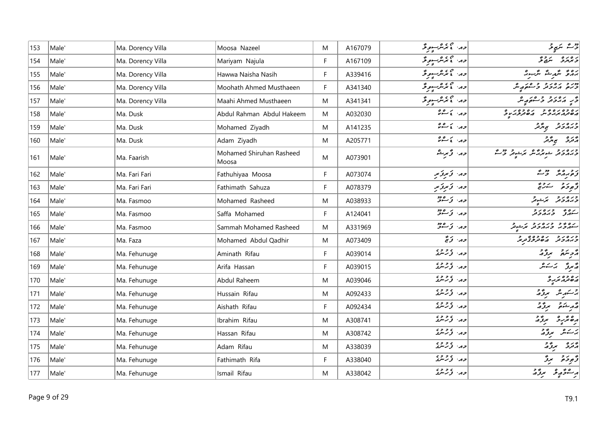| 153 | Male' | Ma. Dorency Villa | Moosa Nazeel                      | M  | A167079 | <br> دە.، ، ئۈمىرسومۇ                       | ژ ئە سَرىپ ئى                                                                       |
|-----|-------|-------------------|-----------------------------------|----|---------|---------------------------------------------|-------------------------------------------------------------------------------------|
| 154 | Male' | Ma. Dorency Villa | Mariyam Najula                    | F  | A167109 | دە. ، ئىگەشرىيەتر                           | د ۱۵ د ۱۵ د وي                                                                      |
| 155 | Male' | Ma. Dorency Villa | Hawwa Naisha Nasih                | F  | A339416 | حەر، ، ئەترىش ھەرىپە ئەتەر                  | رە ئە شەڭ شىر                                                                       |
| 156 | Male' | Ma. Dorency Villa | Moohath Ahmed Musthaeen           | F  | A341340 | <sub>دە، ،</sub> ، ئەمەرسى <i> ئە</i>       | מג כ גם ג כ כ כ ג ס.<br>כ ג ב הג כ ב כ ה כ ה כ                                      |
| 157 | Male' | Ma. Dorency Villa | Maahi Ahmed Musthaeen             | M  | A341341 | <sub>حەم</sub> ، ، ئ <sub>ە</sub> ئەرىسى ئە | و در در در در در و                                                                  |
| 158 | Male' | Ma. Dusk          | Abdul Rahman Abdul Hakeem         | M  | A032030 | 200117                                      | גם כם גם כבי גם כם גם.<br>גם נקו <i>ג גב</i> ית נגם נק <i>ב</i> ג עב                |
| 159 | Male' | Ma. Dusk          | Mohamed Ziyadh                    | M  | A141235 | 2001172                                     | כנסנב <sub>א</sub> תב.<br>כגובנג אתב.                                               |
| 160 | Male' | Ma. Dusk          | Adam Ziyadh                       | M  | A205771 | $222 - 3$                                   | ر<br>1978 - موردگر                                                                  |
| 161 | Male' | Ma. Faarish       | Mohamed Shiruhan Rasheed<br>Moosa | M  | A073901 | دە. ئۇ برىشە                                | وره رو مسرون و مسرور در در در در در این کشور و مسر<br>د بر بروتر شوبر پر شریر و مسر |
| 162 | Male' | Ma. Fari Fari     | Fathuhiyaa Moosa                  | F  | A073074 | در زیرزیر                                   | أزهر مرد ورم                                                                        |
| 163 | Male' | Ma. Fari Fari     | Fathimath Sahuza                  | F  | A078379 | در کردگار<br>  در کردگار                    | و مورد مسرد و                                                                       |
| 164 | Male' | Ma. Fasmoo        | Mohamed Rasheed                   | M  | A038933 | בוגי تۆسىق                                  | وره رو کرشونر<br>د <i>براد د</i> ر کرشونر                                           |
| 165 | Male' | Ma. Fasmoo        | Saffa Mohamed                     | F  | A124041 | בני קבייב                                   | ره د دره دو<br>سهرتی وبردونر                                                        |
| 166 | Male' | Ma. Fasmoo        | Sammah Mohamed Rasheed            | M  | A331969 | دە. ئەسىر                                   | ر ۵ ۶ و د ۶ د ۶ د عرشوند<br>سهروبر وبرووند برشوند                                   |
| 167 | Male' | Ma. Faza          | Mohamed Abdul Qadhir              | M  | A073409 | د پر کوچ                                    | ورەر دە دەپرىر<br>دىرمەد مەمرىرتىرىر                                                |
| 168 | Male' | Ma. Fehunuge      | Aminath Rifau                     | F  | A039014 | وړ کې د وې                                  | ג ב ייטב ו ייני ג                                                                   |
| 169 | Male' | Ma. Fehunuge      | Arifa Hassan                      | F  | A039015 | وړ ورس                                      | ەتىمىرۇ - ئەستەنگە                                                                  |
| 170 | Male' | Ma. Fehunuge      | Abdul Raheem                      | M  | A039046 | وړ کې د وې                                  | ره وه در ه<br>مه همدم مربر و                                                        |
| 171 | Male' | Ma. Fehunuge      | Hussain Rifau                     | M  | A092433 | وړ ورس                                      |                                                                                     |
| 172 | Male' | Ma. Fehunuge      | Aishath Rifau                     | F  | A092434 | وړ ورس                                      |                                                                                     |
| 173 | Male' | Ma. Fehunuge      | Ibrahim Rifau                     | M  | A308741 | وړ ورس                                      |                                                                                     |
| 174 | Male' | Ma. Fehunuge      | Hassan Rifau                      | M  | A308742 | وړ ورس                                      |                                                                                     |
| 175 | Male' | Ma. Fehunuge      | Adam Rifau                        | M  | A338039 | وړ ورس                                      | أزمره برؤم                                                                          |
| 176 | Male' | Ma. Fehunuge      | Fathimath Rifa                    | F. | A338040 | وړ ورس                                      | و محمود معرقه                                                                       |
| 177 | Male' | Ma. Fehunuge      | Ismail Rifau                      | M  | A338042 | وړ ورسری                                    | ر شۇر ئەر بىرۇر                                                                     |
|     |       |                   |                                   |    |         |                                             |                                                                                     |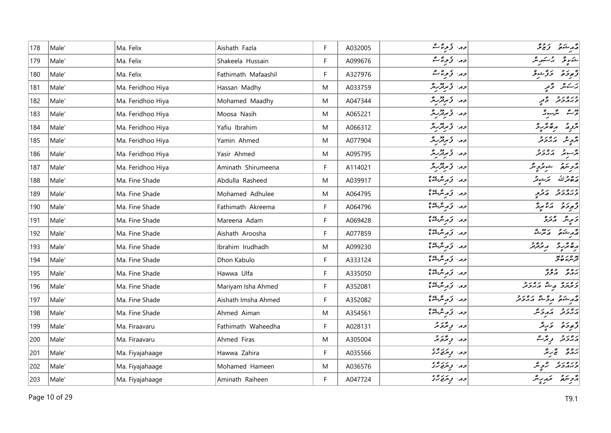| 178 | Male' | Ma. Felix           | Aishath Fazla       | F  | A032005 | دە. ئۈرەم                           | أشهر مشتمر وتميحر              |
|-----|-------|---------------------|---------------------|----|---------|-------------------------------------|--------------------------------|
| 179 | Male' | Ma. Felix           | Shakeela Hussain    | F. | A099676 | دەر، ئۇمەم م                        | لشورق برستهرش                  |
| 180 | Male' | Ma. Felix           | Fathimath Mafaashil | F. | A327976 | دە. ئەربىمى                         | و ده دو دو.                    |
| 181 | Male' | Ma. Feridhoo Hiya   | Hassan Madhy        | M  | A033759 | دړ٠ ز ټروگر تر                      | پرستمبر او محمد                |
| 182 | Male' | Ma. Feridhoo Hiya   | Mohamed Maadhy      | M  | A047344 | حەر ب <sup>ە</sup> ئۇ بىر قەرىبەرگە | وره رو و محمد                  |
| 183 | Male' | Ma. Feridhoo Hiya   | Moosa Nasih         | M  | A065221 | حەر، ئۇ برقرىرى <i>ر</i>            | ارح متن مراجع                  |
| 184 | Male' | Ma. Feridhoo Hiya   | Yafiu Ibrahim       | M  | A066312 | در و برور و                         | أثروه مقتررة                   |
| 185 | Male' | Ma. Feridhoo Hiya   | Yamin Ahmed         | M  | A077904 | حەر ، ئ <i>ۇ بو</i> ترىرى <i>گە</i> | پر په پره پر د                 |
| 186 | Male' | Ma. Feridhoo Hiya   | Yasir Ahmed         | M  | A095795 | حەر ، ئۇ ئىرقەرىدىگە                | أثر سوير المربر والمحمد        |
| 187 | Male' | Ma. Feridhoo Hiya   | Aminath Shirumeena  | F  | A114021 | حەر ، ئ <i>ۇ بودتر</i> ىدىگر        | أقرحتموه المستوجد يتر          |
| 188 | Male' | Ma. Fine Shade      | Abdulla Rasheed     | M  | A039917 | در که مرسمی دی                      | أرة فرالله تمر وقر             |
| 189 | Male' | Ma. Fine Shade      | Mohamed Adhulee     | M  | A064795 | در که رسم شوی                       | دره در در در در در در با       |
| 190 | Male' | Ma. Fine Shade      | Fathimath Akreema   | F  | A064796 | حەر بۇ مەھقق                        | أوجوحهم أكرام موجر             |
| 191 | Male' | Ma. Fine Shade      | Mareena Adam        | F  | A069428 | در. نور شر <u>می</u> و              | كە ئەر ئەر ئەر                 |
| 192 | Male' | Ma. Fine Shade      | Aishath Aroosha     | F  | A077859 | حدس ورشرعية و                       | أور شكوته وكالمرجع             |
| 193 | Male' | Ma. Fine Shade      | Ibrahim Irudhadh    | M  | A099230 | در. زرششه                           | رە ئۆر ئەمەتگەر                |
| 194 | Male' | Ma. Fine Shade      | Dhon Kabulo         | F  | A333124 | حدس ورشرعية و                       | پر ہ ر د بر<br>تر سربر ہ بر    |
| 195 | Male' | Ma. Fine Shade      | Hawwa Ulfa          | F. | A335050 | در. زَرِسْتُ صَحیفی                 | ره و وه<br> پروژ دوو           |
| 196 | Male' | Ma. Fine Shade      | Mariyam Isha Ahmed  | F  | A352081 | در زر ششن                           | و مرمز و شه کرورو              |
| 197 | Male' | Ma. Fine Shade      | Aishath Imsha Ahmed | F  | A352082 | در که مرسمی چیم                     | م المستوفر المركب المركب والمر |
| 198 | Male' | Ma. Fine Shade      | Ahmed Aiman         | M  | A354561 | در. زرشهه                           | أرور ومركبه                    |
| 199 | Male' | Ma. Firaavaru       | Fathimath Waheedha  | F  | A028131 | در و برّوند                         | أوالمحافظ والمحافية            |
| 200 | Male' | Ma. Firaavaru       | Ahmed Firas         | M  | A305004 | دړ٠ وبرڅو بر                        | رور دیگر                       |
| 201 | Male' | Ma. Fiyajahaage     | Hawwa Zahira        | F  | A035566 | وړ٠ و پرو ځري                       | برە ئەرىئە                     |
| 202 | Male' | $ M$ a. Fiyajahaage | Mohamed Hameen      | M  | A036576 | وړ و پرې رو                         | ورورو ځېږم                     |
| 203 | Male' | Ma. Fiyajahaage     | Aminath Raiheen     | F  | A047724 | دړ٠ و ترکي ر دي                     | أأترجع بمدربار                 |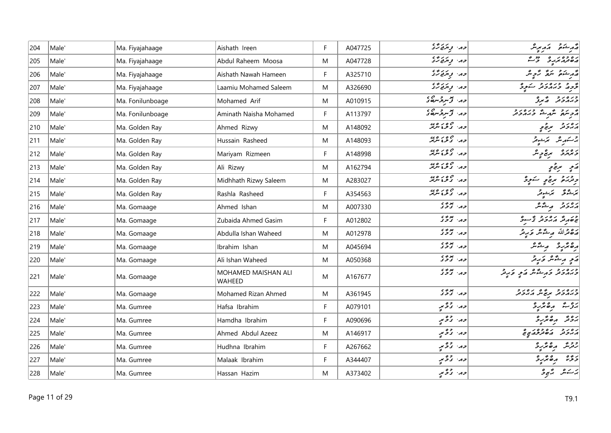| 204 | Male' | Ma. Fiyajahaage  | Aishath Ireen                        | F         | A047725 | وړ. و پرې روځ<br> -                         | أقمر يشكم أتمر بريثر                            |
|-----|-------|------------------|--------------------------------------|-----------|---------|---------------------------------------------|-------------------------------------------------|
| 205 | Male' | Ma. Fiyajahaage  | Abdul Raheem Moosa                   | ${\sf M}$ | A047728 | وړ٠ و پر <sub>ک</sub> ر د د                 | גם כסגפ כי                                      |
| 206 | Male' | Ma. Fiyajahaage  | Aishath Nawah Hameen                 | F         | A325710 | وړ و ترځ ري                                 | قەرشوم ئىرق ئەچ                                 |
| 207 | Male' | Ma. Fiyajahaage  | Laamiu Mohamed Saleem                | M         | A326690 | ود و تریخ رو                                | تحوير وبرەبرو سوپى                              |
| 208 | Male' | Ma. Fonilunboage | Mohamed Arif                         | M         | A010915 | בו צ'ייקביינסיצי                            | ورەر د پرو                                      |
| 209 | Male' | Ma. Fonilunboage | Aminath Naisha Mohamed               | F         | A113797 | בו צ'יקב'יקס'                               | أترضع شرك ورودد                                 |
| 210 | Male' | Ma. Golden Ray   | Ahmed Rizwy                          | M         | A148092 | 00 - 00 - 02<br>حەد - 2 <del>2</del> 3 سرچر | رەرد برخم                                       |
| 211 | Male' | Ma. Golden Ray   | Hussain Rasheed                      | M         | A148093 | ەم بەھ بەھ بەر<br>جەم بىرىمىتى ئىس          | برسكهاش الكرسوفر                                |
| 212 | Male' | Ma. Golden Ray   | Mariyam Rizmeen                      | F         | A148998 | ە دەر دەر.<br>دەر كەنزى سرىر                |                                                 |
| 213 | Male' | Ma. Golden Ray   | Ali Rizwy                            | M         | A162794 | ەم بەھ بەھ بەر<br>جەم بىرىمىتى ئىس          | أوسمع سرج حر                                    |
| 214 | Male' | Ma. Golden Ray   | Midhhath Rizwy Saleem                | M         | A283027 | ەم بەھ بەھ بەر<br>جەم بىرىمىتى ئىس          | د در در برخ و سکوری                             |
| 215 | Male' | Ma. Golden Ray   | Rashla Rasheed                       | F         | A354563 | 0 م 0 م 0 م 2<br>1 م 7 م 7 م م برنيز        | يرجع فللمستعمر                                  |
| 216 | Male' | Ma. Gomaage      | Ahmed Ishan                          | ${\sf M}$ | A007330 | پر پر دی<br>وړ کوک                          | أرەر د شەھ                                      |
| 217 | Male' | Ma. Gomaage      | Zubaida Ahmed Gasim                  | F         | A012802 | پر پر دی<br>وړ کوک                          | ة قام قرير من تحب تحرير و                       |
| 218 | Male' | Ma. Gomaage      | Abdulla Ishan Waheed                 | M         | A012978 | پر پره د<br>وړ کوک                          | أرَهْ قَدْاللّهَ مِرْ شَمَّتْرَ عَ بِرِقْرَ     |
| 219 | Male' | Ma. Gomaage      | Ibrahim Ishan                        | M         | A045694 | پر پرول<br>وړ کوک                           | رەنزىرو بېشىر                                   |
| 220 | Male' | Ma. Gomaage      | Ali Ishan Waheed                     | M         | A050368 | پر بود و<br>وړ کوک                          | أرزمي أرستمس وكرفر                              |
| 221 | Male' | Ma. Gomaage      | MOHAMED MAISHAN ALI<br><b>WAHEED</b> | M         | A167677 | پر پر پر د<br>وړ کوک                        | ورەرو كېرىشى كەي كېرى                           |
| 222 | Male' | Ma. Gomaage      | Mohamed Rizan Ahmed                  | ${\sf M}$ | A361945 | پر پر پر د<br>ور                            | وره روسره ده ره رو<br>د بر روتر مریم شر مربروتر |
| 223 | Male' | Ma. Gumree       | Hafsa Ibrahim                        | F         | A079101 | وړ کوي                                      | پروٹ مرہ محرر د                                 |
| 224 | Male' | Ma. Gumree       | Hamdha Ibrahim                       | F         | A090696 | دړ. وومړ                                    | ره ده پره                                       |
| 225 | Male' | Ma. Gumree       | Ahmed Abdul Azeez                    | M         | A146917 | وړ کوي                                      | גפגב גפבפגם<br>הגבע השיניבה <sub>א</sub> ש      |
| 226 | Male' | Ma. Gumree       | Hudhna Ibrahim                       | F         | A267662 | وړ کوي                                      | ووء مقتررة                                      |
| 227 | Male' | Ma. Gumree       | Malaak Ibrahim                       | F         | A344407 | ور. دوبر                                    | ژیڅ نه<br>ە ھەترىر ۋ                            |
| 228 | Male' | Ma. Gumree       | Hassan Hazim                         | ${\sf M}$ | A373402 | وړ ووي                                      | پرستیں گے پی و                                  |
|     |       |                  |                                      |           |         |                                             |                                                 |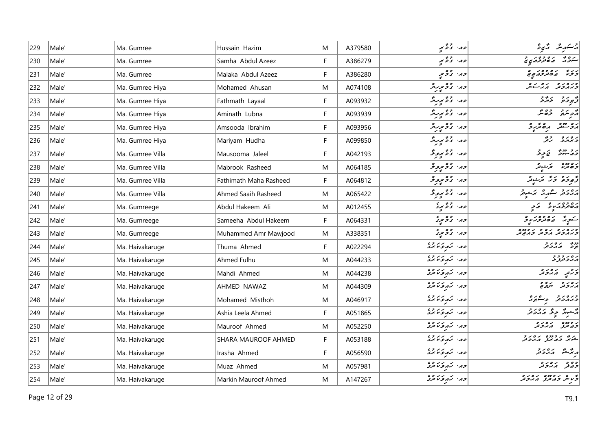| 229 | Male' | Ma. Gumree       | Hussain Hazim          | M           | A379580 | وړ کړ وه مړ                          | جەسىر شەرقىي تەرى <u>ج</u>                      |
|-----|-------|------------------|------------------------|-------------|---------|--------------------------------------|-------------------------------------------------|
| 230 | Male' | Ma. Gumree       | Samha Abdul Azeez      | F           | A386279 | دە دەپر                              | ره د محمد ده د د د<br>سرد پر محمد در د          |
| 231 | Male' | Ma. Gumree       | Malaka Abdul Azeez     | $\mathsf F$ | A386280 | دړ. ووبر                             | د ده په ده وه د په و                            |
| 232 | Male' | Ma. Gumree Hiya  | Mohamed Ahusan         | M           | A074108 | حەربە ئەھمىرىدىگە                    | ورەرو رەپ                                       |
| 233 | Male' | Ma. Gumree Hiya  | Fathmath Layaal        | $\mathsf F$ | A093932 | وړ٠ وو پرېد<br>در                    | توجوخوا المرواد                                 |
| 234 | Male' | Ma. Gumree Hiya  | Aminath Lubna          | $\mathsf F$ | A093939 | وړ٠ وو پر پر<br>وړ٠ وو پر پر         | أأدبتم وفقا                                     |
| 235 | Male' | Ma. Gumree Hiya  | Amsooda Ibrahim        | F           | A093956 | وړ٠ وو پرېدگر<br>در                  | גם בכל תסתיק                                    |
| 236 | Male' | Ma. Gumree Hiya  | Mariyam Hudha          | F           | A099850 | وړ٠ وو پرېر<br>در                    | ر ه ر ه<br><del>ر</del> بربرگر<br>رژگر          |
| 237 | Male' | Ma. Gumree Villa | Mausooma Jaleel        | F           | A042193 | <br> در ، د د بره بو د               | ر د دو.<br>وړښتو<br>تع و قر                     |
| 238 | Male' | Ma. Gumree Villa | Mabrook Rasheed        | M           | A064185 | در و و مړه د گ                       | ره دوه<br>د <i>ه بورد</i> کرشونگر               |
| 239 | Male' | Ma. Gumree Villa | Fathimath Maha Rasheed | F           | A064812 | دە. ، ئۇ ئېروگ                       | و ده در تر شود                                  |
| 240 | Male' | Ma. Gumree Villa | Ahmed Saaih Rasheed    | M           | A065422 | در گوهم دگر<br>  در گوهم دگر         | رەرو گەرۇ بەلىر                                 |
| 241 | Male' | Ma. Gumreege     | Abdul Hakeem Ali       | M           | A012455 | وړ٠ دو برد                           | גם כסגים בת                                     |
| 242 | Male' | Ma. Gumreege     | Sameeha Abdul Hakeem   | $\mathsf F$ | A064331 | وه وه د<br>وه دومړه                  | سكور مەھ برە دەر ب                              |
| 243 | Male' | Ma. Gumreege     | Muhammed Amr Mawjood   | M           | A338351 | در وویږي                             | כנסגב גם כ גבדבם<br>בגמבת מכינ במשת             |
| 244 | Male' | Ma. Haivakaruge  | Thuma Ahmed            | F           | A022294 | حەر سەر ئەرەپە                       | כבי גם גב<br>הפיד הגיביה                        |
| 245 | Male' | Ma. Haivakaruge  | Ahmed Fulhu            | M           | A044233 | وړ٠ ز <sub>مر</sub> ونه ده           | ر ە ر د د د<br>مەركىزى                          |
| 246 | Male' | Ma. Haivakaruge  | Mahdi Ahmed            | M           | A044238 | در زروندی<br>در زرون <sub>م</sub> رد | د د په د د د<br>  د کري په مداد د               |
| 247 | Male' | Ma. Haivakaruge  | AHMED NAWAZ            | M           | A044309 | حەر سەر ئەرەپىي<br>مەسىر             | גם גם גובה<br>הגבת יינפה                        |
| 248 | Male' | Ma. Haivakaruge  | Mohamed Misthoh        | M           | A046917 | حەر سەر ئەرەبىي<br>مەنبەر ئەرەبىي    | ورەرو دىسى<br><i>دىد</i> رونر وسى <i>بى</i> ر   |
| 249 | Male' | Ma. Haivakaruge  | Ashia Leela Ahmed      | $\mathsf F$ | A051865 | בורי ה'תפטיבב                        | أده المستقر المتحفر أوراد                       |
| 250 | Male' | Ma. Haivakaruge  | Mauroof Ahmed          | M           | A052250 | בו. ה'תפטיבי                         | י כמים יים ייביק<br>המיידע מייביק               |
| 251 | Male' | Ma. Haivakaruge  | SHARA MAUROOF AHMED    | $\mathsf F$ | A053188 | בגי ה'תפטיבי                         | ش د د د ده د د د د<br>شرکتر او پر تر او براو تر |
| 252 | Male' | Ma. Haivakaruge  | Irasha Ahmed           | F           | A056590 | وړ٠ ز <sub>مر</sub> ونه ده           | د بگرشگاه امر د در د                            |
| 253 | Male' | Ma. Haivakaruge  | Muaz Ahmed             | M           | A057981 | בורי ה'תפטיבי                        | و و ده دور و                                    |
| 254 | Male' | Ma. Haivakaruge  | Markin Mauroof Ahmed   | M           | A147267 | در که عروم مردم<br> -                | و معالم دودوه بره دو.<br>د ماس دوموز اوبردند    |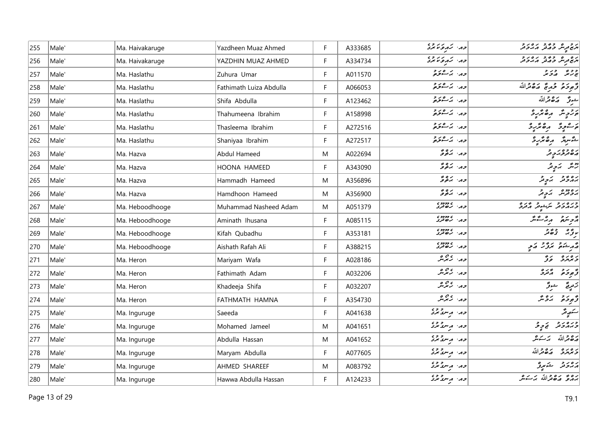| 255 | Male' | Ma. Haivakaruge | Yazdheen Muaz Ahmed     | F         | A333685 | در زروندی                                  | د و ره وه و د ه د و<br>مربع تړس و هغر مدرومر                                                        |
|-----|-------|-----------------|-------------------------|-----------|---------|--------------------------------------------|-----------------------------------------------------------------------------------------------------|
| 256 | Male' | Ma. Haivakaruge | YAZDHIN MUAZ AHMED      | F         | A334734 | دړ٠ زړو نامره                              | ן ס גם כשב גם גב<br>תשנ <sub>י</sub> ת <i>בה</i> נק הגבע                                            |
| 257 | Male' | Ma. Haslathu    | Zuhura Umar             | F         | A011570 | وړ کړې ورو                                 | ا و و به در و در و                                                                                  |
| 258 | Male' | Ma. Haslathu    | Fathimath Luiza Abdulla | F         | A066053 | وړ کړې ورو                                 | قَرْجِرْدَةً وَمِنَّ صَدَّدَاللَّهُ                                                                 |
| 259 | Male' | Ma. Haslathu    | Shifa Abdulla           | F         | A123462 | وړ کړې ده د                                | أشوقر ضركاته                                                                                        |
| 260 | Male' | Ma. Haslathu    | Thahumeena Ibrahim      | F         | A158998 | وړ کړې ور و                                | أتردج بثر المقتربة                                                                                  |
| 261 | Male' | Ma. Haslathu    | Thasleema Ibrahim       | F         | A272516 | وړ کړ صوبو                                 | ة المحمد المستورجة المحمد المحمد المحمد المحمد المحمد المحمد المحمد المحمد المحمد المحمد المحمد الم |
| 262 | Male' | Ma. Haslathu    | Shaniyaa Ibrahim        | F         | A272517 | وړ کړې ورو                                 | شور معدد                                                                                            |
| 263 | Male' | Ma. Hazva       | <b>Abdul Hameed</b>     | M         | A022694 | وړ بره و                                   | ره <del>د</del> ور<br>مەھىرى <i>ۋى</i> ر                                                            |
| 264 | Male' | Ma. Hazva       | HOONA HAMEED            | F         | A343090 | ود کی                                      | ارتى <i>گە</i> كەچەتمە                                                                              |
| 265 | Male' | Ma. Hazva       | Hammadh Hameed          | M         | A356896 | ود کوه                                     | پره د د پر په د                                                                                     |
| 266 | Male' | Ma. Hazva       | Hamdhoon Hameed         | ${\sf M}$ | A356900 | وړ کره و                                   | رەددە پەر تە                                                                                        |
| 267 | Male' | Ma. Heboodhooge | Muhammad Nasheed Adam   | M         | A051379 | e מכבר<br>כ.מ. - מים בקב                   | ورەر و بر دو پرە<br>دېرولا سرشونر مەنزو                                                             |
| 268 | Male' | Ma. Heboodhooge | Aminath Ihusana         | F         | A085115 | e soos c<br>د پر ۱۰ مرگ توری               | أقمر سنقر وبرائشتر                                                                                  |
| 269 | Male' | Ma. Heboodhooge | Kifah Qubadhu           | F         | A353181 | 2 בכבד 2<br><i>ב</i> וג - גי <i>ם בג</i> ב | روه وه در                                                                                           |
| 270 | Male' | Ma. Heboodhooge | Aishath Rafah Ali       | F         | A388215 | e soos c<br>د پر ۱۰ مرگ توری               | أوار كالمحتفظ فالمحمد والمحمج                                                                       |
| 271 | Male' | Ma. Heron       | Mariyam Wafa            | F         | A028186 | وړ کولگر                                   | د ه د ه و د و                                                                                       |
| 272 | Male' | Ma. Heron       | Fathimath Adam          | F         | A032206 | وړ کريگر ش                                 | پور ہ<br>مرمرو<br>  د څوخه ه                                                                        |
| 273 | Male' | Ma. Heron       | Khadeeja Shifa          | F         | A032207 | وړ رنگرنگر                                 | كرِّمْتِينَ حَسَنَ                                                                                  |
| 274 | Male' | Ma. Heron       | FATHMATH HAMNA          | F         | A354730 | وړ رنگرنگر                                 | و مرد د<br>تر موجود<br>برويژ                                                                        |
| 275 | Male' | Ma. Inguruge    | Saeeda                  | F         | A041638 | כו. ומשה מ                                 | سەمەتىر                                                                                             |
| 276 | Male' | Ma. Inguruge    | Mohamed Jameel          | ${\sf M}$ | A041651 | כני נגיינציבי                              | وره دو د و                                                                                          |
| 277 | Male' | Ma. Inguruge    | Abdulla Hassan          | ${\sf M}$ | A041652 | כני נמיע בי                                | ەھەراللە                                                                                            |
| 278 | Male' | Ma. Inguruge    | Maryam Abdulla          | F         | A077605 | כני נמיע בי                                | ح برمرد رك ورالله                                                                                   |
| 279 | Male' | Ma. Inguruge    | AHMED SHAREEF           | M         | A083792 | כוזי וקייט זיכה                            | ره رو شکرو<br>مرکز شکرو                                                                             |
| 280 | Male' | Ma. Inguruge    | Hawwa Abdulla Hassan    | F         | A124233 | وړ۰ پرسومره                                | برەء برەدالله برخش                                                                                  |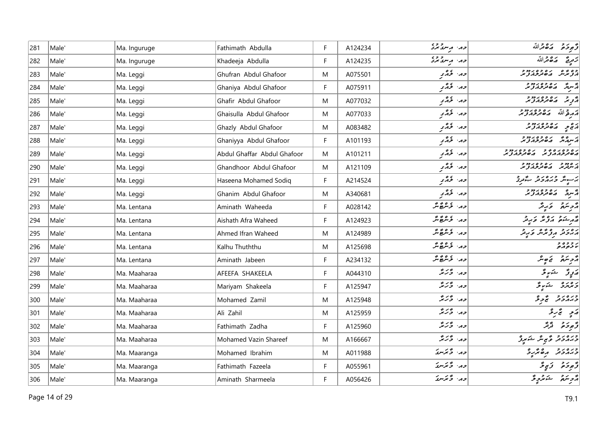| 281 | Male' | Ma. Inguruge | Fathimath Abdulla           | F  | A124234 | כוזי וקיינג'ובי      | وحدد مقتدالله                                                                           |
|-----|-------|--------------|-----------------------------|----|---------|----------------------|-----------------------------------------------------------------------------------------|
| 282 | Male' | Ma. Inguruge | Khadeeja Abdulla            | F  | A124235 | وړ و سره مره         | كتعريج كده قرالله                                                                       |
| 283 | Male' | Ma. Leggi    | Ghufran Abdul Ghafoor       | M  | A075501 | أحهر بحرمي           | وه ده می ده وه د دو و<br>نمرنی می می می در می                                           |
| 284 | Male' | Ma. Leggi    | Ghaniya Abdul Ghafoor       | F. | A075911 | أحهر بمحدثم          | ر ۵ ۶ ۵ ۶ د و ۶<br>پره تر پر تر بر<br>ړ سرگر                                            |
| 285 | Male' | Ma. Leggi    | Ghafir Abdul Ghafoor        | M  | A077032 | در. د د د            | ה<br>הציג השיניבוציג                                                                    |
| 286 | Male' | Ma. Leggi    | Ghaisulla Abdul Ghafoor     | M  | A077033 | حەربە ئەھمىي         | ز د چ <sub>رالله</sub> ده ده د د د د<br>ز د څ <sub>و</sub> الله د ص <i>عر د د نو</i> سر |
| 287 | Male' | Ma. Leggi    | Ghazly Abdul Ghafoor        | M  | A083482 | ر ده. ده د           | أزه به مصر دود و                                                                        |
| 288 | Male' | Ma. Leggi    | Ghaniyya Abdul Ghafoor      | F  | A101193 | در گوهم              | ג' מסיר הסינקי ביריק.<br>ג' יינגה הסינקי ג'                                             |
| 289 | Male' | Ma. Leggi    | Abdul Ghaffar Abdul Ghafoor | M  | A101211 | أحهر بمحمد           |                                                                                         |
| 290 | Male' | Ma. Leggi    | Ghandhoor Abdul Ghafoor     | M  | A121109 | دە. ئۇرم             | ג פרכב – גם כפגרכב<br>ה' ייתריג – הם בתיכה צ'ייג                                        |
| 291 | Male' | Ma. Leggi    | Haseena Mohamed Sodiq       | F. | A214524 | در کورې              | ر سوس ورەرو مەرد                                                                        |
| 292 | Male' | Ma. Leggi    | Ghanim Abdul Ghafoor        | M  | A340681 | دە. ئۇۋېمىيە         | 2210201 0 1                                                                             |
| 293 | Male' | Ma. Lentana  | Aminath Waheeda             | F  | A028142 | در. کوهرځ مگر        | أترج مترة أتحديثه                                                                       |
| 294 | Male' | Ma. Lentana  | Aishath Afra Waheed         | F  | A124923 | دە. ئۇشقۇنىڭ         | و المستوفر المرور المستوفر المستوفر                                                     |
| 295 | Male' | Ma. Lentana  | Ahmed Ifran Waheed          | M  | A124989 | در. كەشھەر           | رور د و پژمر <sub>ک</sub> رد                                                            |
| 296 | Male' | Ma. Lentana  | Kalhu Thuththu              | M  | A125698 | ور. ئۇش <u>ھ</u> قىر | ر و و ه و<br>ما نرجو پرچ                                                                |
| 297 | Male' | Ma. Lentana  | Aminath Jabeen              | F  | A234132 | در. كەشھەر           | أترج سكرة المتحصر المتحفظة                                                              |
| 298 | Male' | Ma. Maaharaa | AFEEFA SHAKEELA             | F  | A044310 | وە ئەرىپ             | ړَرٍوٌ ځېږوٌ                                                                            |
| 299 | Male' | Ma. Maaharaa | Mariyam Shakeela            | F  | A125947 | ورس وكريم            | رەرە شەرق                                                                               |
| 300 | Male' | Ma. Maaharaa | Mohamed Zamil               | M  | A125948 | ورس وكريم            | ورەر دې وگ                                                                              |
| 301 | Male' | Ma. Maaharaa | Ali Zahil                   | M  | A125959 | وە ئەرىپ             | $\frac{2}{3}$ $\frac{2}{3}$ $\frac{2}{3}$                                               |
| 302 | Male' | Ma. Maaharaa | Fathimath Zadha             | F  | A125960 | وە بۇرگە             | وَّجِعَةٍ فَرَسَّ                                                                       |
| 303 | Male' | Ma. Maaharaa | Mohamed Vazin Shareef       | M  | A166667 | ورس تخرکتر           | ورەرو ئىم ئىر ئىكمىر                                                                    |
| 304 | Male' | Ma. Maaranga | Mohamed Ibrahim             | M  | A011988 | בו בציע              | כמחכת חסתיכ                                                                             |
| 305 | Male' | Ma. Maaranga | Fathimath Fazeela           | F  | A055961 | وړ گرس               | وَّەدە ئىچ                                                                              |
| 306 | Male' | Ma. Maaranga | Aminath Sharmeela           | F  | A056426 | בו בציע              | أأوبترة المشتروقر                                                                       |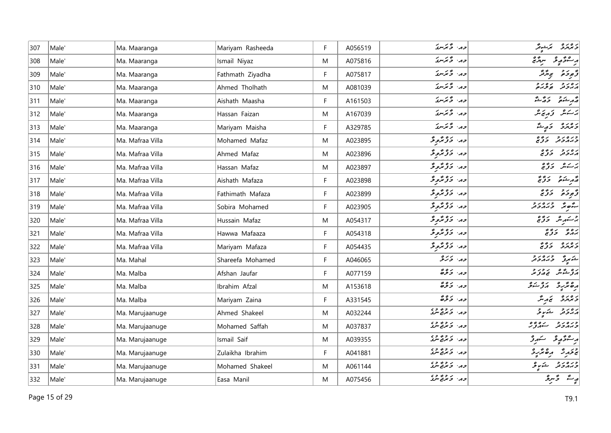| 307 | Male' | Ma. Maaranga     | Mariyam Rasheeda | F.          | A056519 | وړ گورند                              | و وره پرشینگر                                       |
|-----|-------|------------------|------------------|-------------|---------|---------------------------------------|-----------------------------------------------------|
| 308 | Male' | Ma. Maaranga     | Ismail Niyaz     | M           | A075816 | وړ گورند                              | بر شرقه و سرقم                                      |
| 309 | Male' | Ma. Maaranga     | Fathmath Ziyadha | $\mathsf F$ | A075817 | وړ گورند                              | أوالمجافرة والمحافظة                                |
| 310 | Male' | Ma. Maaranga     | Ahmed Tholhath   | M           | A081039 | בו. כציעה                             | ره رو ده رو<br>مدرونر بونورو                        |
| 311 | Male' | Ma. Maaranga     | Aishath Maasha   | $\mathsf F$ | A161503 | وړ ژنځرس                              | وكركو وكالمش                                        |
| 312 | Male' | Ma. Maaranga     | Hassan Faizan    | M           | A167039 | وړ گو ترس                             | برسكش توريجيش                                       |
| 313 | Male' | Ma. Maaranga     | Mariyam Maisha   | F           | A329785 | وړ ژنمرس                              | و مرد و کهای                                        |
| 314 | Male' | Ma. Mafraa Villa | Mohamed Mafaz    | M           | A023895 | وړ ووتروتر                            |                                                     |
| 315 | Male' | Ma. Mafraa Villa | Ahmed Mafaz      | M           | A023896 | دە زۇترەپ                             | رەر دۇھ                                             |
| 316 | Male' | Ma. Mafraa Villa | Hassan Mafaz     | M           | A023897 | دە زۇنئوۋ                             | برسەش ئەقەمچ                                        |
| 317 | Male' | Ma. Mafraa Villa | Aishath Mafaza   | F           | A023898 | دە ئۇترۇقر                            | أقهر شنعى وتومج                                     |
| 318 | Male' | Ma. Mafraa Villa | Fathimath Mafaza | F.          | A023899 | دە ئۇترۇقر                            | وَجوحَهِ وَوَّيَّ                                   |
| 319 | Male' | Ma. Mafraa Villa | Sobira Mohamed   | F           | A023905 | دە ئۇترۇپ                             | بثور وره دو                                         |
| 320 | Male' | Ma. Mafraa Villa | Hussain Mafaz    | M           | A054317 | دە زۇنزۈتخ                            | جر شهر شهر الرومي                                   |
| 321 | Male' | Ma. Mafraa Villa | Hawwa Mafaaza    | F           | A054318 | دە ئۇترەپ                             | برەپچ<br>ىر ئەلگا                                   |
| 322 | Male' | Ma. Mafraa Villa | Mariyam Mafaza   | F           | A054435 | دە زۇنئوۋ                             | נסנס נדיר<br>כמחב בצה                               |
| 323 | Male' | Ma. Mahal        | Shareefa Mohamed | F.          | A046065 | وړ زرو                                | شمېرو دره د د                                       |
| 324 | Male' | Ma. Malba        | Afshan Jaufar    | F           | A077159 | وړ٠ زوۀ                               | رە شەھرىدە                                          |
| 325 | Male' | Ma. Malba        | Ibrahim Afzal    | M           | A153618 | وړ٠ ژوۀ                               | رەنزىر رۇتك                                         |
| 326 | Male' | Ma. Malba        | Mariyam Zaina    | F           | A331545 | وړ٠ ژوۀ                               | و محمد و سم محمد مگر                                |
| 327 | Male' | Ma. Marujaanuge  | Ahmed Shakeel    | M           | A032244 | ر و د و د و و و<br>وړ ۰ و برخ سرو     | أرەر دىم ئەر                                        |
| 328 | Male' | Ma. Marujaanuge  | Mohamed Saffah   | M           | A037837 | ر و د و و د<br>وړ ۰ و برخ سرو         | وره رو دره ۵۶۰۶<br><i>د بر دو</i> ر سکه <i>ور</i> و |
| 329 | Male' | Ma. Marujaanuge  | Ismail Saif      | M           | A039355 | ر و د و و و و د<br>وړ ۰ و بوبح سرو    | و جۇھ ئىسىمبىر ئىسىمبىر                             |
| 330 | Male' | Ma. Marujaanuge  | Zulaikha Ibrahim | F           | A041881 | ر و د و و و و و<br>وړ ۰ و بوبئ سری    | بمخدر مصرو                                          |
| 331 | Male' | Ma. Marujaanuge  | Mohamed Shakeel  | M           | A061144 | ر و د و و و و و و<br>و پر به است مسری | ورەرو خىرو                                          |
| 332 | Male' | Ma. Marujaanuge  | Easa Manil       | M           | A075456 | ر و د و و و و د<br>وړ ۰ و بوبح سرو    | اریٹ ڈیرو                                           |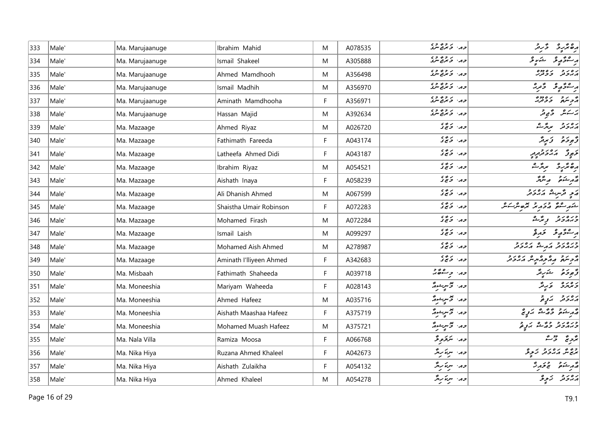| 333 | Male' | Ma. Marujaanuge | Ibrahim Mahid           | M         | A078535 | ر و د و د و د و د<br>د د س سري           | رە ئەير ئەر                              |
|-----|-------|-----------------|-------------------------|-----------|---------|------------------------------------------|------------------------------------------|
| 334 | Male' | Ma. Marujaanuge | Ismail Shakeel          | M         | A305888 | ر و د و د و د و د<br>و د س سربح سربح     | ر شۇرچى خىر                              |
| 335 | Male' | Ma. Marujaanuge | Ahmed Mamdhooh          | M         | A356498 | ر و د و و و و و و<br>و پر به انتخاب مورد | גם גם גם בכם.<br>הגבת בכתג               |
| 336 | Male' | Ma. Marujaanuge | Ismail Madhih           | M         | A356970 |                                          | ر شۇر ئۇر                                |
| 337 | Male' | Ma. Marujaanuge | Aminath Mamdhooha       | F         | A356971 | ر و د و و و و و<br>وړ ۰ و برخ سرو        | הקיימים בכנקי                            |
| 338 | Male' | Ma. Marujaanuge | Hassan Majid            | ${\sf M}$ | A392634 | ر و د و و و و و<br>وړ ۰ و بوبئ سری       | پرسے میں قسمی قرم                        |
| 339 | Male' | Ma. Mazaage     | Ahmed Riyaz             | M         | A026720 | <br>כוני כש צ                            | גם גב תוצים                              |
| 340 | Male' | Ma. Mazaage     | Fathimath Fareeda       | F         | A043174 | בו. בשב                                  | وَّجْعِدَهُ وَمِرِيْرٌ                   |
| 341 | Male' | Ma. Mazaage     | Latheefa Ahmed Didi     | F         | A043187 | כו. בשב                                  | توجور مدد وترمرمر                        |
| 342 | Male' | Ma. Mazaage     | Ibrahim Riyaz           | M         | A054521 | <br>כוני כש צ                            |                                          |
| 343 | Male' | Ma. Mazaage     | Aishath Inaya           | F         | A058239 | כו. בשב                                  | مەستىق مەشتر                             |
| 344 | Male' | Ma. Mazaage     | Ali Dhanish Ahmed       | M         | A067599 | $55 - 15$                                | أيأمج الأسراعة الأبراد وراح              |
| 345 | Male' | Ma. Mazaage     | Shaistha Umair Robinson | F         | A072283 | כו. בשב                                  | شور مع در دیده مرسوم                     |
| 346 | Male' | Ma. Mazaage     | Mohamed Firash          | ${\sf M}$ | A072284 | <br>כוני הביציב                          | ورەرو پەش                                |
| 347 | Male' | Ma. Mazaage     | Ismail Laish            | M         | A099297 | <br>כוני כש צ                            | أرجعتي ومحمدهم                           |
| 348 | Male' | Ma. Mazaage     | Mohamed Aish Ahmed      | ${\sf M}$ | A278987 | כו. בשב                                  | 2000 - הפני המביע.<br>כממכת התייל המביע. |
| 349 | Male' | Ma. Mazaage     | Aminath I'lliyeen Ahmed | F         | A342683 | <br>כוני כש ב                            | أزوينه وأومروسر أبردو                    |
| 350 | Male' | Ma. Misbaah     | Fathimath Shaheeda      | F         | A039718 | 280, 50                                  | توجوحه مستويتر                           |
| 351 | Male' | Ma. Moneeshia   | Mariyam Waheeda         | F         | A028143 | حەر سىم ئەسپىدىگە<br>مەنبەت ئىسپار       | و ه ده و د تر                            |
| 352 | Male' | Ma. Moneeshia   | Ahmed Hafeez            | M         | A035716 | دړ٠ د سرپېږم                             | د د د د د د د                            |
| 353 | Male' | Ma. Moneeshia   | Aishath Maashaa Hafeez  | F         | A375719 | وړ٠ څرس شورگ                             |                                          |
| 354 | Male' | Ma. Moneeshia   | Mohamed Muash Hafeez    | M         | A375721 | وړ٠ وسمينونه<br>د                        | ورەر د دەرە دړة                          |
| 355 | Male' | Ma. Nala Villa  | Ramiza Moosa            | F         | A066768 | رە. ئىر <i>ۇرۇ</i>                       | أترونج وحمشه                             |
| 356 | Male' | Ma. Nika Hiya   | Ruzana Ahmed Khaleel    | F         | A042673 | حەر سرىئار بىر                           | وءِ په ره رو رکوی                        |
| 357 | Male' | Ma. Nika Hiya   | Aishath Zulaikha        | F         | A054132 | حەر سرىئاسەتە                            | أقهر شكو المحركة                         |
| 358 | Male' | Ma. Nika Hiya   | Ahmed Khaleel           | ${\sf M}$ | A054278 | حەر سرىئاسەدىگە                          | پروتر زیرو                               |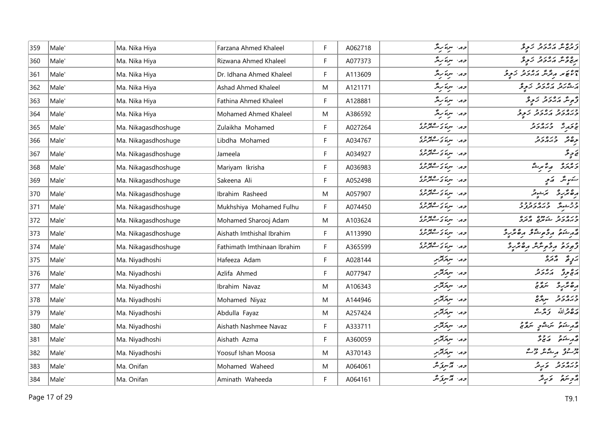| 359 | Male' | Ma. Nika Hiya       | Farzana Ahmed Khaleel       | F           | A062718 | حەر سرىئاسەتە                                   | ز دو پژر در در زیر و                                                                                           |
|-----|-------|---------------------|-----------------------------|-------------|---------|-------------------------------------------------|----------------------------------------------------------------------------------------------------------------|
| 360 | Male' | Ma. Nika Hiya       | Rizwana Ahmed Khaleel       | F           | A077373 | حەر سرىدىر                                      | و ده ده ده د و زرو                                                                                             |
| 361 | Male' | Ma. Nika Hiya       | Dr. Idhana Ahmed Khaleel    | F           | A113609 | در سربار پژ                                     | × مع معرض مدارج مع المعرض المحرج المعرضي المعرض المعرض المعرض المعرض المعرض المحرم المعدن من المعدن المعدن الم |
| 362 | Male' | Ma. Nika Hiya       | Ashad Ahmed Khaleel         | M           | A121171 | دړ سربرګردگر                                    | ړ ور د رور د زېږو                                                                                              |
| 363 | Male' | Ma. Nika Hiya       | Fathina Ahmed Khaleel       | $\mathsf F$ | A128881 | حەر سرى <i>دى</i> گە                            | ۇم ئەرەرە ئېچى                                                                                                 |
| 364 | Male' | Ma. Nika Hiya       | Mohamed Ahmed Khaleel       | M           | A386592 | حەر سرى <i>دى</i> گە                            | ورەر د رەرد رکړتى                                                                                              |
| 365 | Male' | Ma. Nikagasdhoshuge | Zulaikha Mohamed            | F           | A027264 | وړ٠ سربار ٤٥ و٠<br>وړ٠ سربار شوترنرۍ            | ج څه پر څه د جر د حد                                                                                           |
| 366 | Male' | Ma. Nikagasdhoshuge | Libdha Mohamed              | F           | A034767 | وړ . سربانو سه تورنونو                          | وەتگر<br>و ره ر د<br>تر پر ژمر                                                                                 |
| 367 | Male' | Ma. Nikagasdhoshuge | Jameela                     | F           | A034927 | وړ . سربانۍ سه تورنۍ<br>وړ . سربانۍ سه تورنونۍ  | ر<br>نوچ گر                                                                                                    |
| 368 | Male' | Ma. Nikagasdhoshuge | Mariyam Ikrisha             | $\mathsf F$ | A036983 | وړ٠ سربار ٥ مو و c<br>وړ٠ سربار سوتورنور        | ر ه ر ه<br><del>ر</del> بربرو<br>ورثا سرڪ                                                                      |
| 369 | Male' | Ma. Nikagasdhoshuge | Sakeena Ali                 | F           | A052498 | وړ . سربانو سه تورو تا<br>وړ . سربانو سه تورو ت | سكيانثر الأمج                                                                                                  |
| 370 | Male' | Ma. Nikagasdhoshuge | Ibrahim Rasheed             | M           | A057907 | وړ٠ سربانو صوفر                                 | رە ئرىر ئىسىمى ئىشىمى                                                                                          |
| 371 | Male' | Ma. Nikagasdhoshuge | Mukhshiya Mohamed Fulhu     | F           | A074450 | وړ . سربانو سه تورون<br>وړ . سربانو سه تورون    | و و سه په وره د و و و<br>د کرشورگر و بر پر و ترو لا                                                            |
| 372 | Male' | Ma. Nikagasdhoshuge | Mohamed Sharooj Adam        | M           | A103624 | وړ . سربانۍ سترس                                | وره ر و در دوه به ره<br><i>و پرو</i> وتر څوبرق اړترن                                                           |
| 373 | Male' | Ma. Nikagasdhoshuge | Aishath Imthishal Ibrahim   | F           | A113990 | وړ . سربانو سه تورو تا<br>وړ . سربانو سه تورو ت | وأرشكم ودومشر وهنزرد                                                                                           |
| 374 | Male' | Ma. Nikagasdhoshuge | Fathimath Imthinaan Ibrahim | $\mathsf F$ | A365599 | وړ . سربانو سه تورن                             |                                                                                                                |
| 375 | Male' | Ma. Niyadhoshi      | Hafeeza Adam                | F           | A028144 | دړ ۰ سرمرتنر سر                                 | برَوٍ يَمَّ دَمَرَدُ                                                                                           |
| 376 | Male' | Ma. Niyadhoshi      | Azlifa Ahmed                | F           | A077947 | حەر سىرتى <i>گى</i> ر                           | השיכל המכבר                                                                                                    |
| 377 | Male' | Ma. Niyadhoshi      | Ibrahim Navaz               | M           | A106343 | دړ. سرمزقرس                                     | ە ھەترىر <sup>ە</sup><br>ىر ئە ج<br>سرچ <sub>ى</sub> م                                                         |
| 378 | Male' | Ma. Niyadhoshi      | Mohamed Niyaz               | M           | A144946 | در مترکز مر                                     | و ره ر د<br><i>و پر د</i> تر<br>سرگرمج                                                                         |
| 379 | Male' | Ma. Niyadhoshi      | Abdulla Fayaz               | M           | A257424 | وړ· سرمرکز <sub>سر</sub>                        | برە قراللە ئەترىپ                                                                                              |
| 380 | Male' | Ma. Niyadhoshi      | Aishath Nashmee Navaz       | F           | A333711 | دە. سەئىرىر                                     | أوأو يشكوا المراكبون المتراكب والمحرج                                                                          |
| 381 | Male' | Ma. Niyadhoshi      | Aishath Azma                | $\mathsf F$ | A360059 | دړ. سرمز ټرسر                                   | أحمد يشتموا أرواح                                                                                              |
| 382 | Male' | Ma. Niyadhoshi      | Yoosuf Ishan Moosa          | M           | A370143 |                                                 | دو وه<br>ترسو پرسگر وسگر                                                                                       |
| 383 | Male' | Ma. Onifan          | Mohamed Waheed              | M           | A064061 | دە. ئ <sup>ې</sup> ستىگ                         |                                                                                                                |
| 384 | Male' | Ma. Onifan          | Aminath Waheeda             | F           | A064161 | دە. ئېسترىش                                     | أزويتم قيقر                                                                                                    |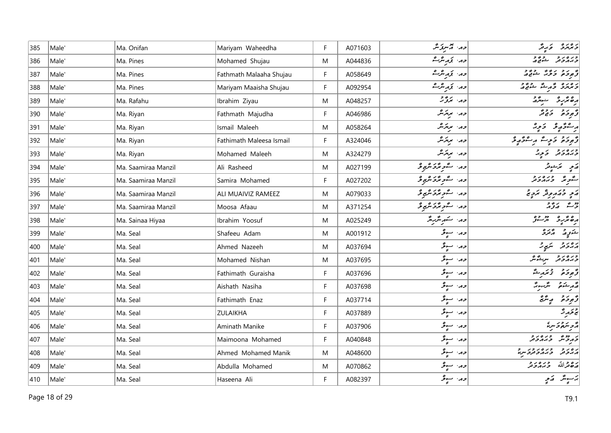| 385 | Male' | Ma. Onifan          | Mariyam Waheedha         | F           | A071603 | دە بە ئىرىدىگە                 | دەرە ئەيتر                                |
|-----|-------|---------------------|--------------------------|-------------|---------|--------------------------------|-------------------------------------------|
| 386 | Male' | Ma. Pines           | Mohamed Shujau           | M           | A044836 | دە. ئەر شرى                    | وره رو دوود<br>د بر د دون                 |
| 387 | Male' | Ma. Pines           | Fathmath Malaaha Shujau  | F           | A058649 | دەر، بۇرمەشرىشە                | توجوحو وتخرج المعوج                       |
| 388 | Male' | Ma. Pines           | Mariyam Maaisha Shujau   | F           | A092954 | دەر، بۇرمەرمى                  | رەرە ئەرشە دەر                            |
| 389 | Male' | Ma. Rafahu          | Ibrahim Ziyau            | M           | A048257 | ور بروژ                        | ת <i>סילק</i> כן החולר                    |
| 390 | Male' | Ma. Riyan           | Fathmath Majudha         | $\mathsf F$ | A046986 | دە بىر ئىر                     | و ده دوو                                  |
| 391 | Male' | Ma. Riyan           | Ismail Maleeh            | M           | A058264 | وړ٠ بربرگر                     | ر جۇرپۇ كۆپ                               |
| 392 | Male' | Ma. Riyan           | Fathimath Maleesa Ismail | F           | A324046 | وړ٠ بربرگر                     | ژوده در ۱۰ رادور                          |
| 393 | Male' | Ma. Riyan           | Mohamed Maleeh           | M           | A324279 | دړ. برېژنگر                    | ورورور ورد                                |
| 394 | Male' | Ma. Saamiraa Manzil | Ali Rasheed              | M           | A027199 | ر.<br>مەن سۇ <i>ر تۈڭ</i> ئىرى | أركمني المركب وتر                         |
| 395 | Male' | Ma. Saamiraa Manzil | Samira Mohamed           | F           | A027202 | رە. سەر <i>مەدە</i> مىي ۋ      | سكونتر وبرورو                             |
| 396 | Male' | Ma. Saamiraa Manzil | ALI MUAIVIZ RAMEEZ       | M           | A079033 | در سوپرځشو څو                  | أأو والمأموش ترويم                        |
| 397 | Male' | Ma. Saamiraa Manzil | Moosa Afaau              | M           | A371254 | رى. سەر <i>بۇ دىگى ب</i> ۇ     | $252 - 22$                                |
| 398 | Male' | Ma. Sainaa Hiyaa    | Ibrahim Yoosuf           | M           | A025249 | دە. سەر ئىرىد <i>ە</i>         | دە ئۆر دە دە                              |
| 399 | Male' | Ma. Seal            | Shafeeu Adam             | M           | A001912 | ور. سوژ                        | شَرُوٍ 2 أَرْمَرُو                        |
| 400 | Male' | Ma. Seal            | Ahmed Nazeeh             | M           | A037694 | ور. سوژ                        | رەرد ئىي 2                                |
| 401 | Male' | Ma. Seal            | Mohamed Nishan           | M           | A037695 | ور. سوژ                        | ورەرو سرشەش                               |
| 402 | Male' | Ma. Seal            | Fathimath Guraisha       | F           | A037696 | ور. سوژ                        | ژوده تی ره                                |
| 403 | Male' | Ma. Seal            | Aishath Nasiha           | F           | A037698 | ور. سوژ                        |                                           |
| 404 | Male' | Ma. Seal            | Fathimath Enaz           | $\mathsf F$ | A037714 | دە بەبى                        | ۇ پ <sub>ە پە</sub> ر<br>و پېژنې<br>س     |
| 405 | Male' | Ma. Seal            | <b>ZULAIKHA</b>          | $\mathsf F$ | A037889 | ور. ب                          | ە<br>ئەخرىرىتە                            |
| 406 | Male' | Ma. Seal            | Aminath Manike           | F           | A037906 | ور. سوژ                        | ۇ ئەسىم ئەسىرىكى<br>مەس                   |
| 407 | Male' | Ma. Seal            | Maimoona Mohamed         | F           | A040848 | ور. سوژ                        | ז כבי כנסגב<br>בגבית בגבבת                |
| 408 | Male' | Ma. Seal            | Ahmed Mohamed Manik      | M           | A048600 | ور. سوفر                       | גם גם כגם בבאת כ<br>הגבת כגהכתכיתיו       |
| 409 | Male' | Ma. Seal            | Abdulla Mohamed          | M           | A070862 |                                | و ره ر و<br><i>و پر</i> و تر<br>بر25 الله |
| 410 | Male' | Ma. Seal            | Haseena Ali              | F           | A082397 | وړ پولو                        | يزجيش الأمج                               |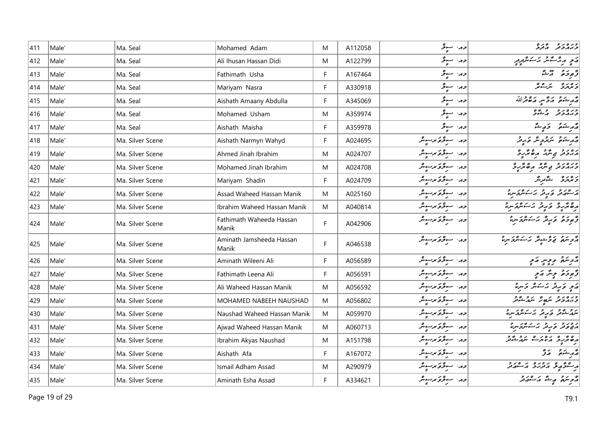| 411 | Male' | Ma. Seal         | Mohamed Adam                      | M  | A112058 | وړ سوی                    | وره رو په ده<br><i>وبرم</i> ونر م <i>ر</i> نرو |
|-----|-------|------------------|-----------------------------------|----|---------|---------------------------|------------------------------------------------|
| 412 | Male' | Ma. Seal         | Ali Ihusan Hassan Didi            | M  | A122799 | وړ سوی                    | ەي مەشكىر ئەسەھەرىر                            |
| 413 | Male' | Ma. Seal         | Fathimath Usha                    | F  | A167464 | وړ پولو                   | وٌ و دَمَ " دَمَ "                             |
| 414 | Male' | Ma. Seal         | Mariyam Nasra                     | F  | A330918 | رە، سوپى                  | رەرە بەرەپ                                     |
| 415 | Male' | Ma. Seal         | Aishath Amaany Abdulla            | F  | A345069 | ور. سود                   | مەم شەم مۇس مەھىراللە                          |
| 416 | Male' | Ma. Seal         | Mohamed Usham                     | M  | A359974 | ور. سوژ                   | ورەر د د دە                                    |
| 417 | Male' | Ma. Seal         | Aishath Maisha                    | F  | A359978 | ور. سوژ                   | أمار مسكوم التأمير والمستك                     |
| 418 | Male' | Ma. Silver Scene | Aishath Narmyn Wahyd              | F  | A024695 | دە سوۋە ئەسوش             | ومستوفي الترمي والمحاسبة                       |
| 419 | Male' | Ma. Silver Scene | Ahmed Jinah Ibrahim               | M  | A024707 | دە. سوۋە ئەسوش            | أرور و عرشه مره تربه                           |
| 420 | Male' | Ma. Silver Scene | Mohamed Jinah Ibrahim             | M  | A024708 | دە. سوۋە ئەسوش            | ورەرو يېڭد مەھگرى                              |
| 421 | Male' | Ma. Silver Scene | Mariyam Shadin                    | F. | A024709 | دە. سوۋە ئەسوش            | رەرە شەرش                                      |
| 422 | Male' | Ma. Silver Scene | Assad Waheed Hassan Manik         | M  | A025160 | دە. سوۋىمەسوشر            | ג 200 גם גב ג׳ ביותר                           |
| 423 | Male' | Ma. Silver Scene | Ibrahim Waheed Hassan Manik       | M  | A040814 | دە. سوۋە ئەسوش            | رەمزرو كەبەر ئەسكىرى بىرە                      |
| 424 | Male' | Ma. Silver Scene | Fathimath Waheeda Hassan<br>Manik | F  | A042906 | دە سوۋىمەسوشر             | وتجودة وربق بمسكن الملا                        |
| 425 | Male' | Ma. Silver Scene | Aminath Jamsheeda Hassan<br>Manik | F  | A046538 | دە. سوۋە ئەسپەشر          | أأدينهم فأوجع كالمستركز الرما                  |
| 426 | Male' | Ma. Silver Scene | Aminath Wileeni Ali               | F  | A056589 | دە. سوۋە ئەسوش            | أدويتم ووسراكو                                 |
| 427 | Male' | Ma. Silver Scene | Fathimath Leena Ali               | F. | A056591 | دە. سوۋە ئەسوش            | ژوده په زو                                     |
| 428 | Male' | Ma. Silver Scene | Ali Waheed Hassan Manik           | M  | A056592 | دە. سوۋە ئەسوش            | ړې ورېږ پر شکر وسره                            |
| 429 | Male' | Ma. Silver Scene | MOHAMED NABEEH NAUSHAD            | M  | A056802 | دە. سوۋە ئەسوش            | ورەرو ترەر شەر بەر                             |
| 430 | Male' | Ma. Silver Scene | Naushad Waheed Hassan Manik       | M  | A059970 | <i>دە</i> سىر ئەھەر ئەسىر | شەھقىر كېرىتر بر كىشكەس                        |
| 431 | Male' | Ma. Silver Scene | Ajwad Waheed Hassan Manik         | M  | A060713 | دە. سوۋە ئەسوش            | رورو تربيتي بمسكن الملاحمين                    |
| 432 | Male' | Ma. Silver Scene | Ibrahim Akyas Naushad             | M  | A151798 | دە. سوۋە ئەسوش            | مەمزىرو مەمزىق سەم شەم                         |
| 433 | Male' | Ma. Silver Scene | Aishath Afa                       | F. | A167072 | دە. سوۋە ئەسوش            | مەرشىم مۇ                                      |
| 434 | Male' | Ma. Silver Scene | Ismail Adham Assad                | M  | A290979 | دە. سوۋە ئەسوش            | م سوځ په د دره د ۲۰۰۷م                         |
| 435 | Male' | Ma. Silver Scene | Aminath Esha Assad                | F  | A334621 | <i>حەن سوۋە ئەس</i> وش    | أتروشي بهش بر مدد                              |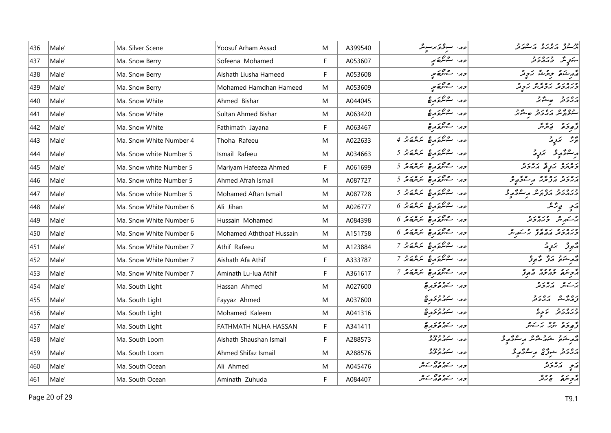| 436 | Male' | Ma. Silver Scene        | Yoosuf Arham Assad       | M | A399540 | وړ٠ سووکو <sub>پرسو</sub> ند                                                                                                                                                                                                                                                                                                                                                                                                                                                                                                                                                                          | ח כם גםגם גםגב<br>ת—נ גיגוב ג—מינג                                   |
|-----|-------|-------------------------|--------------------------|---|---------|-------------------------------------------------------------------------------------------------------------------------------------------------------------------------------------------------------------------------------------------------------------------------------------------------------------------------------------------------------------------------------------------------------------------------------------------------------------------------------------------------------------------------------------------------------------------------------------------------------|----------------------------------------------------------------------|
| 437 | Male' | Ma. Snow Berry          | Sofeena Mohamed          | F | A053607 | ور. سره مو                                                                                                                                                                                                                                                                                                                                                                                                                                                                                                                                                                                            | ب کو پر در در در                                                     |
| 438 | Male' | Ma. Snow Berry          | Aishath Liusha Hameed    | F | A053608 | $\begin{array}{cc} \sqrt{2} & 0 \\ \sqrt{2} & \sqrt{2} \\ \sqrt{2} & \sqrt{2} \\ \sqrt{2} & \sqrt{2} \\ \sqrt{2} & \sqrt{2} \\ \sqrt{2} & \sqrt{2} \\ \sqrt{2} & \sqrt{2} \\ \sqrt{2} & \sqrt{2} \\ \sqrt{2} & \sqrt{2} \\ \sqrt{2} & \sqrt{2} \\ \sqrt{2} & \sqrt{2} \\ \sqrt{2} & \sqrt{2} \\ \sqrt{2} & \sqrt{2} \\ \sqrt{2} & \sqrt{2} \\ \sqrt{2} & \sqrt{2} \\ \sqrt{2} & \sqrt{2} \\ \sqrt{2} & \sqrt{2} \\ \sqrt{2} & \sqrt{2} \\$                                                                                                                                                            | أمر منكوم والرحق كرومر                                               |
| 439 | Male' | Ma. Snow Berry          | Mohamed Hamdhan Hameed   | M | A053609 |                                                                                                                                                                                                                                                                                                                                                                                                                                                                                                                                                                                                       | ورەرو رەپەھ پرچەر                                                    |
| 440 | Male' | Ma. Snow White          | Ahmed Bishar             | M | A044045 | כתי הייתופתים                                                                                                                                                                                                                                                                                                                                                                                                                                                                                                                                                                                         | ره رو حشگر                                                           |
| 441 | Male' | Ma. Snow White          | Sultan Ahmed Bishar      | M | A063420 |                                                                                                                                                                                                                                                                                                                                                                                                                                                                                                                                                                                                       | روه بره برورد مشتر<br>سوچینز مهرونز صشویر                            |
| 442 | Male' | Ma. Snow White          | Fathimath Jayana         | F | A063467 |                                                                                                                                                                                                                                                                                                                                                                                                                                                                                                                                                                                                       | توجوخهم فيرتمنه                                                      |
| 443 | Male' | Ma. Snow White Number 4 | Thoha Rafeeu             | M | A022633 | ور. سوروه مرورد و                                                                                                                                                                                                                                                                                                                                                                                                                                                                                                                                                                                     | انچر تروپ <sup>و</sup>                                               |
| 444 | Male' | Ma. Snow white Number 5 | Ismail Rafeeu            | M | A034663 | כתי לייעלת ב תיתום א 5                                                                                                                                                                                                                                                                                                                                                                                                                                                                                                                                                                                | ر شۇر ئەر ئىر                                                        |
| 445 | Male' | Ma. Snow white Number 5 | Mariyam Hafeeza Ahmed    | F | A061699 | ور. كوسرى مۇسرى 3 5                                                                                                                                                                                                                                                                                                                                                                                                                                                                                                                                                                                   | د ه ده د د ه د د د د                                                 |
| 446 | Male' | Ma. Snow white Number 5 | Ahmed Afrah Ismail       | M | A087727 | ور. كوروه مرموم 5                                                                                                                                                                                                                                                                                                                                                                                                                                                                                                                                                                                     | גם גם גם זם הם הפליקים.<br>הגבת הציגל הבייפליקים                     |
| 447 | Male' | Ma. Snow white Number 5 | Mohamed Aftan Ismail     | M | A087728 | ور. كوسمور و مرسم كرد 5                                                                                                                                                                                                                                                                                                                                                                                                                                                                                                                                                                               | ورەرو رەرھ مرتقور                                                    |
| 448 | Male' | Ma. Snow White Number 6 | Ali Jihan                | M | A026777 | ور. كوسروري سرسر مرد 6                                                                                                                                                                                                                                                                                                                                                                                                                                                                                                                                                                                | أرشم وشرائد                                                          |
| 449 | Male' | Ma. Snow White Number 6 | Hussain Mohamed          | M | A084398 | ور. مشروره شهوره و                                                                                                                                                                                                                                                                                                                                                                                                                                                                                                                                                                                    | وكرمر ورورو                                                          |
| 450 | Male' | Ma. Snow White Number 6 | Mohamed Aththoaf Hussain | M | A151758 | ور. سىسھىرى سىسھىر 6                                                                                                                                                                                                                                                                                                                                                                                                                                                                                                                                                                                  | ورەر د رەپە د ب                                                      |
| 451 | Male' | Ma. Snow White Number 7 | Athif Rafeeu             | M | A123884 |                                                                                                                                                                                                                                                                                                                                                                                                                                                                                                                                                                                                       | ړېږو ټروړ                                                            |
| 452 | Male' | Ma. Snow White Number 7 | Aishath Afa Athif        | F | A333787 | ور. كوشۇرە شرىھىم 7                                                                                                                                                                                                                                                                                                                                                                                                                                                                                                                                                                                   | مەر شىم مۇ مەر                                                       |
| 453 | Male' | Ma. Snow White Number 7 | Aminath Lu-lua Athif     | F | A361617 | ور. مستوريع شهور د                                                                                                                                                                                                                                                                                                                                                                                                                                                                                                                                                                                    | ה ביישה ברכבי בי                                                     |
| 454 | Male' | Ma. South Light         | Hassan Ahmed             | M | A027600 | $ext{Simplies}$                                                                                                                                                                                                                                                                                                                                                                                                                                                                                                                                                                                       | ير کيمر د بر د د                                                     |
| 455 | Male' | Ma. South Light         | Fayyaz Ahmed             | M | A037600 | $6, 222 - 12$                                                                                                                                                                                                                                                                                                                                                                                                                                                                                                                                                                                         | زەم ئەرەر                                                            |
| 456 | Male' | Ma. South Light         | Mohamed Kaleem           | M | A041316 | בגי התפיצתם                                                                                                                                                                                                                                                                                                                                                                                                                                                                                                                                                                                           | ورەرو كەچ                                                            |
| 457 | Male' | Ma. South Light         | FATHMATH NUHA HASSAN     | F | A341411 | $e$ , $\rightarrow$ , $\rightarrow$ , $\rightarrow$ , $\rightarrow$ , $\rightarrow$ , $\rightarrow$ , $\rightarrow$ , $\rightarrow$ , $\rightarrow$ , $\rightarrow$ , $\rightarrow$ , $\rightarrow$ , $\rightarrow$ , $\rightarrow$ , $\rightarrow$ , $\rightarrow$ , $\rightarrow$ , $\rightarrow$ , $\rightarrow$ , $\rightarrow$ , $\rightarrow$ , $\rightarrow$ , $\rightarrow$ , $\rightarrow$ , $\rightarrow$ , $\rightarrow$ , $\rightarrow$ , $\rightarrow$ , $\rightarrow$ , $\rightarrow$ , $\rightarrow$ , $\rightarrow$ , $\rightarrow$ , $\rightarrow$ , $\rightarrow$ , $\rightarrow$ , | ۇيدوم تىر ئەسەر                                                      |
| 458 | Male' | Ma. South Loom          | Aishath Shaushan Ismail  | F | A288573 | ג ג ב ב בס<br><i>הג - ה</i> מים <i>ב</i> כ                                                                                                                                                                                                                                                                                                                                                                                                                                                                                                                                                            | ۇرىشۇ ھۇرھۇش رىشۇرگو                                                 |
| 459 | Male' | Ma. South Loom          | Ahmed Shifaz Ismail      | M | A288576 | ג ד כ כבר<br><i>הר המס</i> צב                                                                                                                                                                                                                                                                                                                                                                                                                                                                                                                                                                         | גפגב <sub>څو</sub> ژب <sub>ځ</sub> <sub>مر</sub> ه ژ <sub>و</sub> پو |
| 460 | Male' | Ma. South Ocean         | Ali Ahmed                | M | A045476 | دە بەردەم بەھ                                                                                                                                                                                                                                                                                                                                                                                                                                                                                                                                                                                         | پر په پرورو                                                          |
| 461 | Male' | Ma. South Ocean         | Aminath Zuhuda           | F | A084407 | وړ کرووی ره                                                                                                                                                                                                                                                                                                                                                                                                                                                                                                                                                                                           | أترج مترة المتحاجمة                                                  |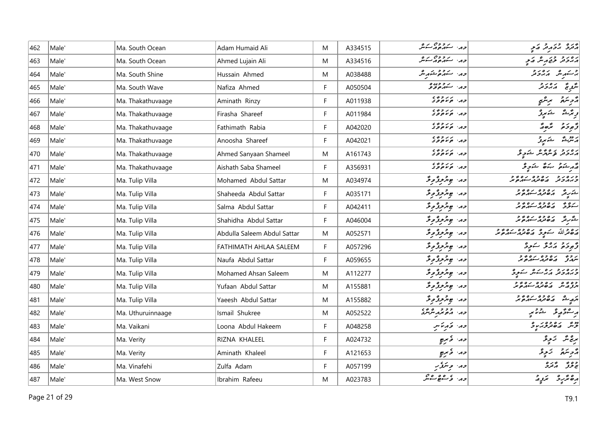| 462 | Male' | Ma. South Ocean   | Adam Humaid Ali             | M           | A334515 | در. س <i>تهره ده ش</i> کر                                                                                                                                                                                                                                                                                                                                                                                                                                                                                                                                                         |                                                                        |
|-----|-------|-------------------|-----------------------------|-------------|---------|-----------------------------------------------------------------------------------------------------------------------------------------------------------------------------------------------------------------------------------------------------------------------------------------------------------------------------------------------------------------------------------------------------------------------------------------------------------------------------------------------------------------------------------------------------------------------------------|------------------------------------------------------------------------|
| 463 | Male' | Ma. South Ocean   | Ahmed Lujain Ali            | M           | A334516 | در. س <i>ته و ده</i> سترس                                                                                                                                                                                                                                                                                                                                                                                                                                                                                                                                                         | أيهدونه وقارعه أياته                                                   |
| 464 | Male' | Ma. South Shine   | Hussain Ahmed               | M           | A038488 | <i>دە. سەھ ھەشەھ</i>                                                                                                                                                                                                                                                                                                                                                                                                                                                                                                                                                              |                                                                        |
| 465 | Male' | Ma. South Wave    | Nafiza Ahmed                | F           | A050504 | ג ד כבונים<br>בג - המים פים                                                                                                                                                                                                                                                                                                                                                                                                                                                                                                                                                       | بر ہ بر د<br>م <i>ر</i> بر <del>د</del> تر<br>شَّرِيحَ                 |
| 466 | Male' | Ma. Thakathuvaage | Aminath Rinzy               | F           | A011938 | 59949.79                                                                                                                                                                                                                                                                                                                                                                                                                                                                                                                                                                          | أرمزة<br>ىرىثرىپ                                                       |
| 467 | Male' | Ma. Thakathuvaage | Firasha Shareef             | F           | A011984 | גנגים<br>כני י <i>פ</i> עיפים                                                                                                                                                                                                                                                                                                                                                                                                                                                                                                                                                     | ويُرْتُدُّ<br>شەمرۇ                                                    |
| 468 | Male' | Ma. Thakathuvaage | Fathimath Rabia             | F           | A042020 | גג בשי<br>כגי י <i>פ</i> עיפצ                                                                                                                                                                                                                                                                                                                                                                                                                                                                                                                                                     | وٌودَهُ گُرُّهُ                                                        |
| 469 | Male' | Ma. Thakathuvaaqe | Anoosha Shareef             | E           | A042021 | $\begin{array}{cc} c\leftrightarrow&\to&\to\\ s\circ&\circ\circ\circ\circ\circ\end{array} \quad\text{and}\quad\begin{array}{cc} s\bullet&\bullet&\bullet\end{array} \quad\text{and}\quad\begin{array}{cc} s\bullet&\bullet&\bullet\end{array} \quad\text{and}\quad\begin{array}{cc} s\bullet&\bullet&\bullet\end{array} \quad\text{and}\quad\begin{array}{cc} s\bullet&\bullet&\bullet\end{array} \quad\text{and}\quad\begin{array}{cc} s\bullet&\bullet&\bullet\end{array} \quad\text{and}\quad\begin{array}{cc} s\bullet&\bullet&\bullet\end{array} \quad\text{and}\quad\begin$ | پر دو گھر ہے کہ میں تحریکی کے ان                                       |
| 470 | Male' | Ma. Thakathuvaage | Ahmed Sanyaan Shameel       | M           | A161743 | גנגים<br>כגי י <i>פ</i> עיפיב                                                                                                                                                                                                                                                                                                                                                                                                                                                                                                                                                     | رەرد زەيرىر خوچ                                                        |
| 471 | Male' | Ma. Thakathuvaage | Aishath Saba Shameel        | F           | A356931 | גנגים<br>כגי י <i>פ</i> עיפיב                                                                                                                                                                                                                                                                                                                                                                                                                                                                                                                                                     | أورشني بنك شرج و                                                       |
| 472 | Male' | Ma. Tulip Villa   | Mohamed Abdul Sattar        | M           | A034974 | در و مر دور                                                                                                                                                                                                                                                                                                                                                                                                                                                                                                                                                                       | כנסנכ נסכס נספכ<br><i>כג</i> ונכנ <sub>י ו</sub> ג <i>סנ</i> ונ — ונפצ |
| 473 | Male' | Ma. Tulip Villa   | Shaheeda Abdul Sattar       | F           | A035171 | در و مر دور                                                                                                                                                                                                                                                                                                                                                                                                                                                                                                                                                                       | ره وه ره دو.<br>پره ترو سوړه پر<br>احتىرىتمر                           |
| 474 | Male' | Ma. Tulip Villa   | Salma Abdul Sattar          | F           | A042411 | در. ع <sup>و</sup> فروژوڅ                                                                                                                                                                                                                                                                                                                                                                                                                                                                                                                                                         | ره وه ره دو<br>پره توپر شهره بر<br>سەۋۇ                                |
| 475 | Male' | Ma. Tulip Villa   | Shahidha Abdul Sattar       | F           | A046004 | در. ع <i>بر د</i> ور د                                                                                                                                                                                                                                                                                                                                                                                                                                                                                                                                                            | ره وه ره د و<br>پره توپر شهره بر<br>ىشترىرىتر                          |
| 476 | Male' | Ma. Tulip Villa   | Abdulla Saleem Abdul Sattar | M           | A052571 | حەر، ھەھرىر بۇ ھرىگە                                                                                                                                                                                                                                                                                                                                                                                                                                                                                                                                                              | ره د الله سود ره ده ره د و                                             |
| 477 | Male' | Ma. Tulip Villa   | FATHIMATH AHLAA SALEEM      | $\mathsf F$ | A057296 | در ومزدود                                                                                                                                                                                                                                                                                                                                                                                                                                                                                                                                                                         | ژوده ړرو سرو                                                           |
| 478 | Male' | Ma. Tulip Villa   | Naufa Abdul Sattar          | F.          | A059655 | حەر، ھ <sub>ا</sub> ترىر بۇ ھ <sub>ى</sub> گە                                                                                                                                                                                                                                                                                                                                                                                                                                                                                                                                     | ני נסים נסיים<br>יתג גם נגיד ו                                         |
| 479 | Male' | Ma. Tulip Villa   | Mohamed Ahsan Saleem        | M           | A112277 | حەر، ھ <sub>ا</sub> ترىر بۇ ھ <sub>ى</sub> گە                                                                                                                                                                                                                                                                                                                                                                                                                                                                                                                                     | ورەرو رەپ كە ئىوۋ                                                      |
| 480 | Male' | Ma. Tulip Villa   | Yufaan Abdul Sattar         | M           | A155881 | —<br> --- ج <sup>وز</sup> مرد و عر                                                                                                                                                                                                                                                                                                                                                                                                                                                                                                                                                | ره وه ره د و<br>پره تر پر سر پر پر<br>وه پر مر<br>مرب <i>و م</i> ر     |
| 481 | Male' | Ma. Tulip Villa   | Yaeesh Abdul Sattar         | M           | A155882 | در. ع <sup>و</sup> دِوْ وِدْ                                                                                                                                                                                                                                                                                                                                                                                                                                                                                                                                                      | ر ٥ ۶ ٥ ٥ ٥ ٠ ٥ ٠<br>پره توپر شهره بو<br>ابرَ پر ش                     |
| 482 | Male' | Ma. Uthuruinnaage | Ismail Shukree              | M           | A052522 | כגי גיפיד פישית                                                                                                                                                                                                                                                                                                                                                                                                                                                                                                                                                                   | ر شۇرچى شەرىپ<br>ر                                                     |
| 483 | Male' | Ma. Vaikani       | Loona Abdul Hakeem          | F           | A048258 | حەر ئەمەئىس                                                                                                                                                                                                                                                                                                                                                                                                                                                                                                                                                                       | ودی ره ده در و                                                         |
| 484 | Male' | Ma. Verity        | RIZNA KHALEEL               | F           | A024732 | -<br> حەر، ئۇمرىيج                                                                                                                                                                                                                                                                                                                                                                                                                                                                                                                                                                | ابرچ پڙ<br>پ<br>تزموي                                                  |
| 485 | Male' | Ma. Verity        | Aminath Khaleel             | F           | A121653 | ه<br>۱۶۱۰ و مرج                                                                                                                                                                                                                                                                                                                                                                                                                                                                                                                                                                   | أرمز تر<br>زَووٌ                                                       |
| 486 | Male' | Ma. Vinafehi      | Zulfa Adam                  | F           | A057199 | در و سَڏبر                                                                                                                                                                                                                                                                                                                                                                                                                                                                                                                                                                        | ە جۇ ئە<br>پور ہ<br>مرمرو                                              |
| 487 | Male' | Ma. West Snow     | Ibrahim Rafeeu              | M           | A023783 | در، ئۇسقۇسىش                                                                                                                                                                                                                                                                                                                                                                                                                                                                                                                                                                      | رە ئرىر ئىرى                                                           |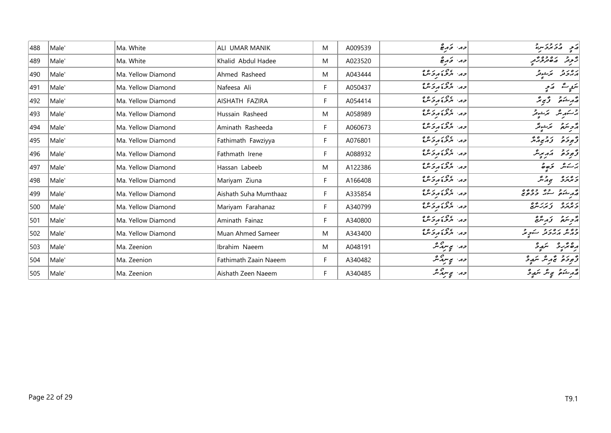| 488 | Male' | Ma. White          | ALI UMAR MANIK        | M  | A009539 | $2\pi$                          | בי בנביבית                               |
|-----|-------|--------------------|-----------------------|----|---------|---------------------------------|------------------------------------------|
| 489 | Male' | Ma. White          | Khalid Abdul Hadee    | M  | A023520 | כורי פורים                      | راژوتر دەپ دەرىجەت                       |
| 490 | Male' | Ma. Yellow Diamond | Ahmed Rasheed         | M  | A043444 |                                 | پر 9 پر و<br>ىكەپ ھەتەر<br>ئى            |
| 491 | Male' | Ma. Yellow Diamond | Nafeesa Ali           | F. | A050437 |                                 | سَمِيتٌ سَمِي                            |
| 492 | Male' | Ma. Yellow Diamond | AISHATH FAZIRA        | F. | A054414 | בגי תלגוב בש                    | لەر ئەمقى ئۇي ئىگە                       |
| 493 | Male' | Ma. Yellow Diamond | Hussain Rasheed       | M  | A058989 | 001100<br>レッフィ ミクア・フラ           | پرستەرىش ئىزىنبوتر                       |
| 494 | Male' | Ma. Yellow Diamond | Aminath Rasheeda      | F. | A060673 | ים היה הסי<br>כני תכשובים       | أأرحر سكر مكرسفوند                       |
| 495 | Male' | Ma. Yellow Diamond | Fathimath Fawziyya    | F. | A076801 | ים גם גם ם<br>כודי חיב צ'ורבייט | توجوحو تومهم                             |
| 496 | Male' | Ma. Yellow Diamond | Fathmath Irene        | F. | A088932 |                                 | أقرموقر أمرسية                           |
| 497 | Male' | Ma. Yellow Diamond | Hassan Labeeb         | M  | A122386 | בו המי הכשירים                  | ير کم کم کر ده ه                         |
| 498 | Male' | Ma. Yellow Diamond | Mariyam Ziuna         | F. | A166408 | בו המי הכשירים                  | ئەنگەر 2<br>s 9<br>سے ارس                |
| 499 | Male' | Ma. Yellow Diamond | Aishath Suha Mumthaaz | F. | A335854 |                                 | ه در ده ده وه وه د                       |
| 500 | Male' | Ma. Yellow Diamond | Mariyam Farahanaz     | F. | A340799 |                                 | ر ه ر ه<br><del>ر</del> بربر د<br>0.4111 |
| 501 | Male' | Ma. Yellow Diamond | Aminath Fainaz        | F. | A340800 | 20, 20, 20, 10                  | أثر حريحه وكالمرتبع                      |
| 502 | Male' | Ma. Yellow Diamond | Muan Ahmed Sameer     | M  | A343400 | ים היה הסי<br>כודי תיב אבשית ב  | ووه رورو کرد                             |
| 503 | Male' | Ma. Zeenion        | Ibrahim Naeem         | M  | A048191 | o c<br>  ور. سپاسر شر           | ەر ھەتئەر 2<br>س<br>سمەر                 |
| 504 | Male' | Ma. Zeenion        | Fathimath Zaain Naeem | F. | A340482 | o c<br>  در به سرمانتر          |                                          |
| 505 | Male' | Ma. Zeenion        | Aishath Zeen Naeem    | F. | A340485 | ادە ، يې سرچىق                  | أقهر خوص ي عز سكور و                     |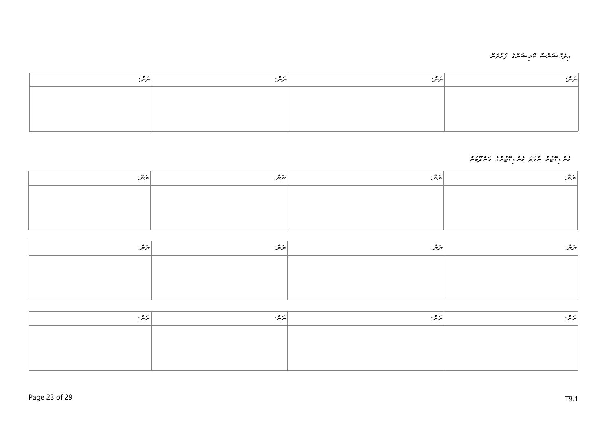## *w7qAn8m? sCw7mRo>u; wEw7mRw;sBo<*

| ' مرمر | 'يئرىثر: |
|--------|----------|
|        |          |
|        |          |
|        |          |

## *w7q9r@w7m> sCw7qHtFoFw7s; mAm=q7 w7qHtFoFw7s;*

| ىر تە | $\mathcal{O} \times$<br>$\sim$ | $\sim$<br>. . | لترنثر |
|-------|--------------------------------|---------------|--------|
|       |                                |               |        |
|       |                                |               |        |
|       |                                |               |        |

| انترنثر: | $^{\circ}$ | يبرهر | $^{\circ}$<br>سرسر |
|----------|------------|-------|--------------------|
|          |            |       |                    |
|          |            |       |                    |
|          |            |       |                    |

| ىرتىر: | 。<br>سر سر | .,<br>مرسر |
|--------|------------|------------|
|        |            |            |
|        |            |            |
|        |            |            |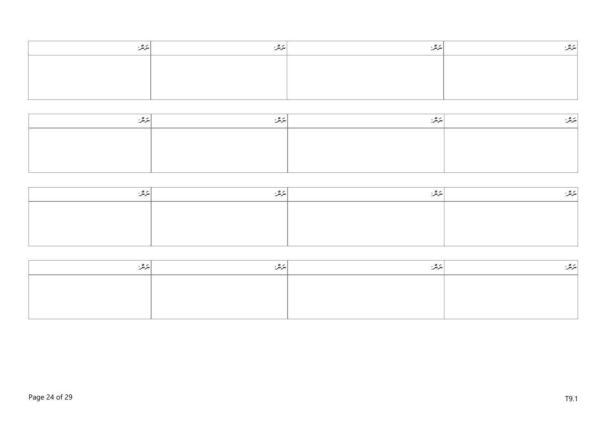| يزهر | $^{\circ}$ | ىئرىتر: |  |
|------|------------|---------|--|
|      |            |         |  |
|      |            |         |  |
|      |            |         |  |

| متريثر به | 。<br>'سرسر'۔ | يتزيترا | سرسر |
|-----------|--------------|---------|------|
|           |              |         |      |
|           |              |         |      |
|           |              |         |      |

| ىئرىتر. | $\sim$ | ا بر هه. | لىرىش |
|---------|--------|----------|-------|
|         |        |          |       |
|         |        |          |       |
|         |        |          |       |

| 。<br>مرس. | $\overline{\phantom{a}}$<br>مر مىر | يتريثر |
|-----------|------------------------------------|--------|
|           |                                    |        |
|           |                                    |        |
|           |                                    |        |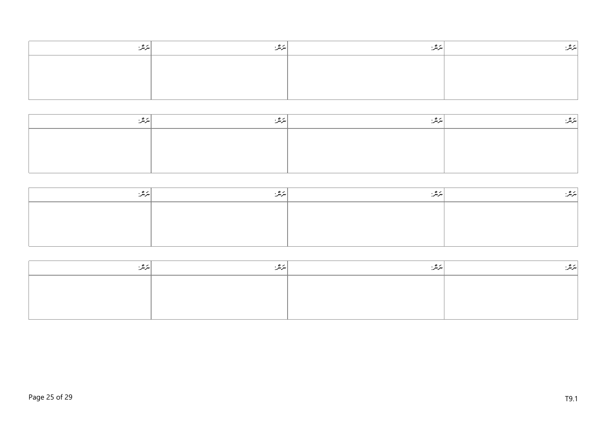| ير هو . | $\overline{\phantom{a}}$ | يرمر | اير هنه. |
|---------|--------------------------|------|----------|
|         |                          |      |          |
|         |                          |      |          |
|         |                          |      |          |

| ىر تىر: | $\circ$ $\sim$<br>" سرسر . | يبرحه | o . |
|---------|----------------------------|-------|-----|
|         |                            |       |     |
|         |                            |       |     |
|         |                            |       |     |

| 'تترنثر: | 。<br>,,,, |  |
|----------|-----------|--|
|          |           |  |
|          |           |  |
|          |           |  |

|  | . ه |
|--|-----|
|  |     |
|  |     |
|  |     |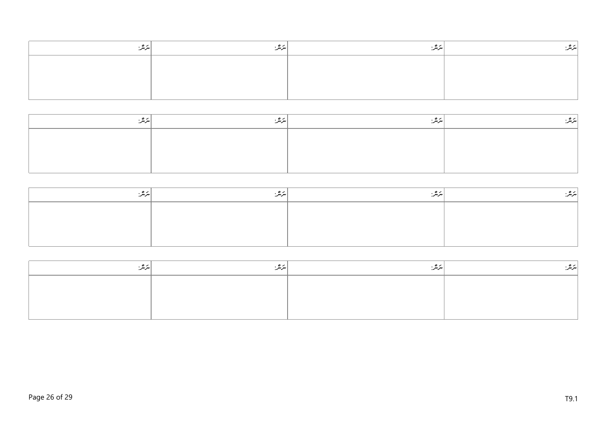| ير هو . | $\overline{\phantom{a}}$ | يرمر | اير هنه. |
|---------|--------------------------|------|----------|
|         |                          |      |          |
|         |                          |      |          |
|         |                          |      |          |

| ىر تىر: | $\circ$ $\sim$<br>" سرسر . | يبرحه | o . |
|---------|----------------------------|-------|-----|
|         |                            |       |     |
|         |                            |       |     |
|         |                            |       |     |

| انترنثر: | ر ه |  |
|----------|-----|--|
|          |     |  |
|          |     |  |
|          |     |  |

|  | . ه |
|--|-----|
|  |     |
|  |     |
|  |     |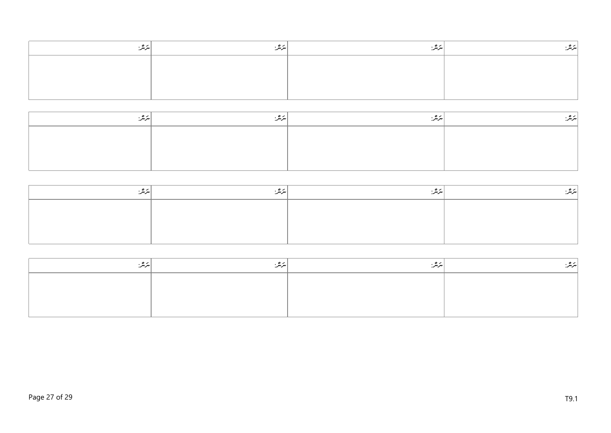| $\cdot$ | ο. | $\frac{\circ}{\cdot}$ | $\sim$<br>سرسر |
|---------|----|-----------------------|----------------|
|         |    |                       |                |
|         |    |                       |                |
|         |    |                       |                |

| يريثن | ' سرسر . |  |
|-------|----------|--|
|       |          |  |
|       |          |  |
|       |          |  |

| بر ه | 。 | $\sim$<br>َ سومس. |  |
|------|---|-------------------|--|
|      |   |                   |  |
|      |   |                   |  |
|      |   |                   |  |

| ىئرىش: | بر سر<br>$\tilde{\phantom{a}}$ | $\sim$<br>' سرسر . |  |
|--------|--------------------------------|--------------------|--|
|        |                                |                    |  |
|        |                                |                    |  |
|        |                                |                    |  |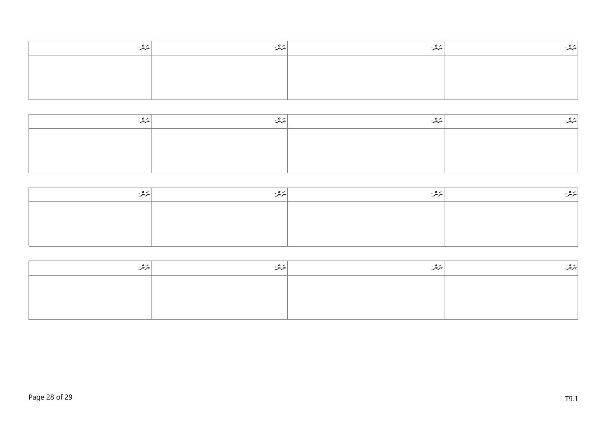| ير هو . | $\overline{\phantom{a}}$ | يرمر | لتزمثن |
|---------|--------------------------|------|--------|
|         |                          |      |        |
|         |                          |      |        |
|         |                          |      |        |

| ىر تىر: | $\circ$ $\sim$<br>" سرسر . | يبرحه | o . |
|---------|----------------------------|-------|-----|
|         |                            |       |     |
|         |                            |       |     |
|         |                            |       |     |

| 'تترنثر: | 。<br>,,,, |  |
|----------|-----------|--|
|          |           |  |
|          |           |  |
|          |           |  |

|  | . ه |
|--|-----|
|  |     |
|  |     |
|  |     |